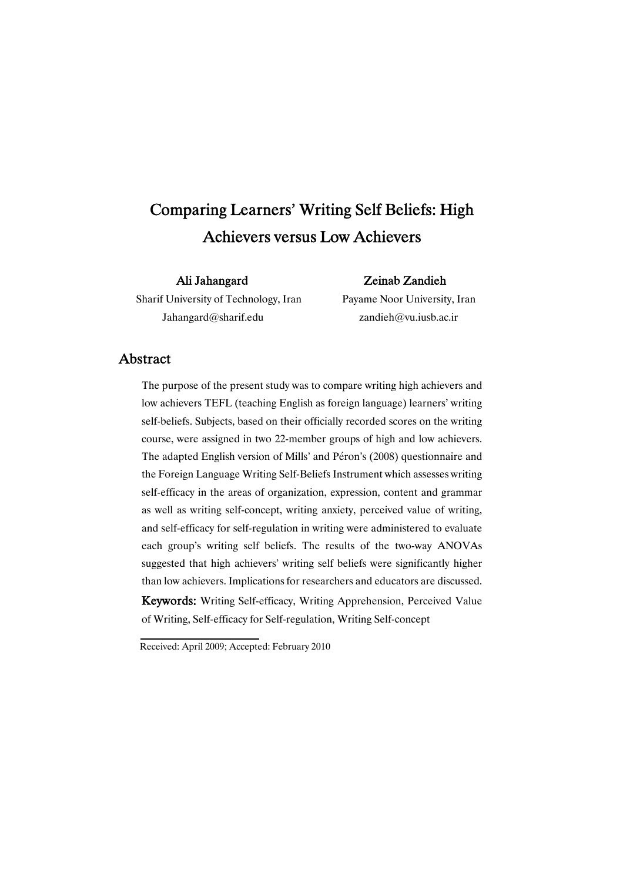# Comparing Learners' Writing Self Beliefs: High Achievers versus Low Achievers

Ali Jahangard

Zeinab Zandieh

Sharif University of Technology, Iran Payame Noor University, Iran Jahangard@sharif.edu zandieh@vu.iusb.ac.ir

### Abstract

The purpose of the present study was to compare writing high achievers and low achievers TEFL (teaching English as foreign language) learners' writing self-beliefs. Subjects, based on their officially recorded scores on the writing course, were assigned in two 22-member groups of high and low achievers. The adapted English version of Mills' and Péron's (2008) questionnaire and the Foreign Language Writing Self-Beliefs Instrument which assesses writing self-efficacy in the areas of organization, expression, content and grammar as well as writing self-concept, writing anxiety, perceived value of writing, and self-efficacy for self-regulation in writing were administered to evaluate each group's writing self beliefs. The results of the two-way ANOVAs suggested that high achievers' writing self beliefs were significantly higher than low achievers. Implicationsfor researchers and educators are discussed. Keywords: Writing Self-efficacy, Writing Apprehension, Perceived Value of Writing, Self-efficacy for Self-regulation, Writing Self-concept

Received: April 2009; Accepted: February 2010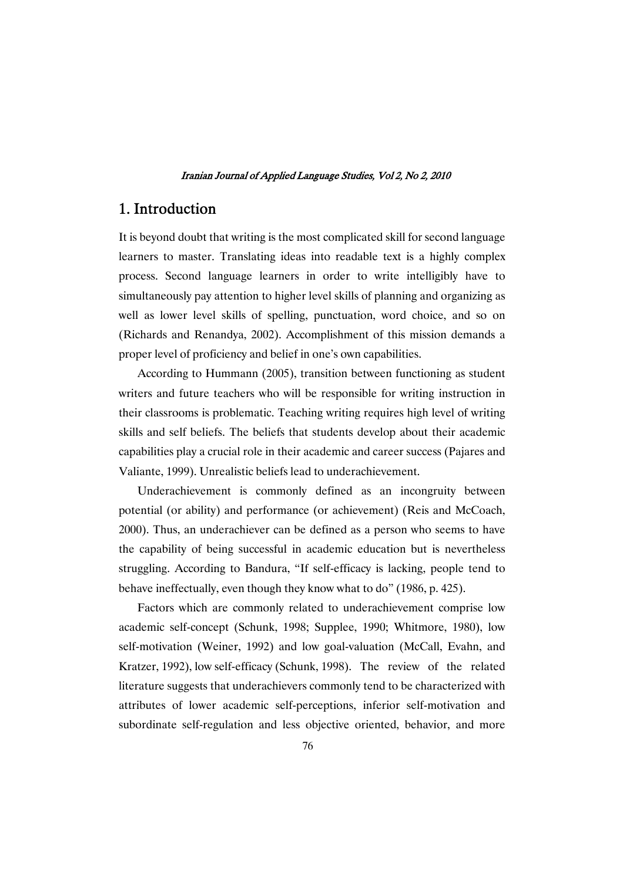# 1. Introduction

It is beyond doubt that writing is the most complicated skill for second language learners to master. Translating ideas into readable text is a highly complex process. Second language learners in order to write intelligibly have to simultaneously pay attention to higher level skills of planning and organizing as well as lower level skills of spelling, punctuation, word choice, and so on (Richards and Renandya, 2002). Accomplishment of this mission demands a proper level of proficiency and belief in one's own capabilities.

According to Hummann (2005), transition between functioning as student writers and future teachers who will be responsible for writing instruction in their classrooms is problematic. Teaching writing requires high level of writing skills and self beliefs. The beliefs that students develop about their academic capabilities play a crucial role in their academic and career success (Pajares and Valiante, 1999). Unrealistic beliefs lead to underachievement.

Underachievement is commonly defined as an incongruity between potential (or ability) and performance (or achievement) (Reis and McCoach, 2000). Thus, an underachiever can be defined as a person who seems to have the capability of being successful in academic education but is nevertheless struggling. According to Bandura, "If self-efficacy is lacking, people tend to behave ineffectually, even though they know what to do" (1986, p. 425).

Factors which are commonly related to underachievement comprise low academic self-concept (Schunk, 1998; Supplee, 1990; Whitmore, 1980), low self-motivation (Weiner, 1992) and low goal-valuation (McCall, Evahn, and Kratzer, 1992), low self-efficacy (Schunk, 1998). The review of the related literature suggests that underachievers commonly tend to be characterized with attributes of lower academic self-perceptions, inferior self-motivation and subordinate self-regulation and less objective oriented, behavior, and more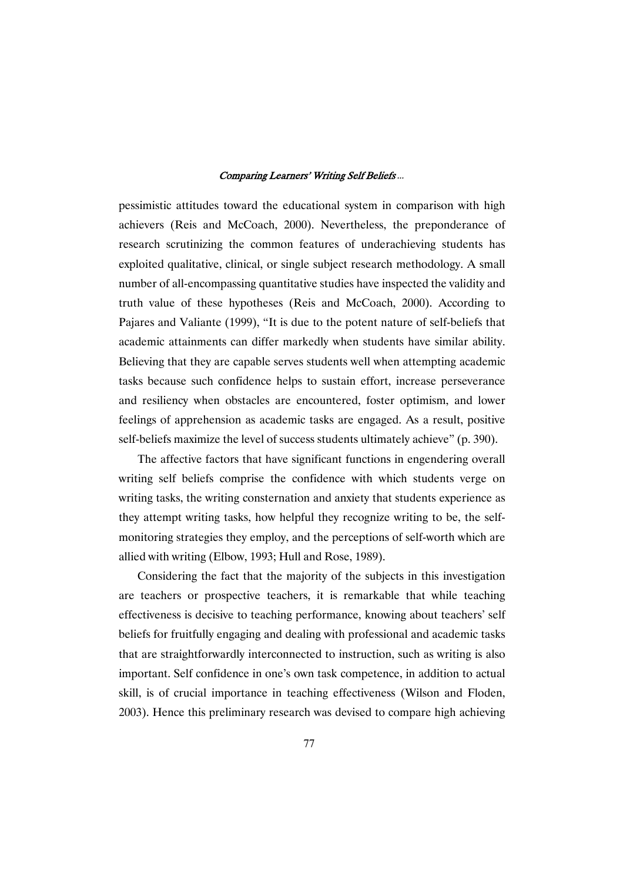pessimistic attitudes toward the educational system in comparison with high achievers (Reis and McCoach, 2000). Nevertheless, the preponderance of research scrutinizing the common features of underachieving students has exploited qualitative, clinical, or single subject research methodology. A small number of all-encompassing quantitative studies have inspected the validity and truth value of these hypotheses (Reis and McCoach, 2000). According to Pajares and Valiante (1999), "It is due to the potent nature of self-beliefs that academic attainments can differ markedly when students have similar ability. Believing that they are capable serves students well when attempting academic tasks because such confidence helps to sustain effort, increase perseverance and resiliency when obstacles are encountered, foster optimism, and lower feelings of apprehension as academic tasks are engaged. As a result, positive self-beliefs maximize the level of success students ultimately achieve" (p. 390).

The affective factors that have significant functions in engendering overall writing self beliefs comprise the confidence with which students verge on writing tasks, the writing consternation and anxiety that students experience as they attempt writing tasks, how helpful they recognize writing to be, the selfmonitoring strategies they employ, and the perceptions of self-worth which are allied with writing (Elbow, 1993; Hull and Rose, 1989).

Considering the fact that the majority of the subjects in this investigation are teachers or prospective teachers, it is remarkable that while teaching effectiveness is decisive to teaching performance, knowing about teachers' self beliefs for fruitfully engaging and dealing with professional and academic tasks that are straightforwardly interconnected to instruction, such as writing is also important. Self confidence in one's own task competence, in addition to actual skill, is of crucial importance in teaching effectiveness (Wilson and Floden, 2003). Hence this preliminary research was devised to compare high achieving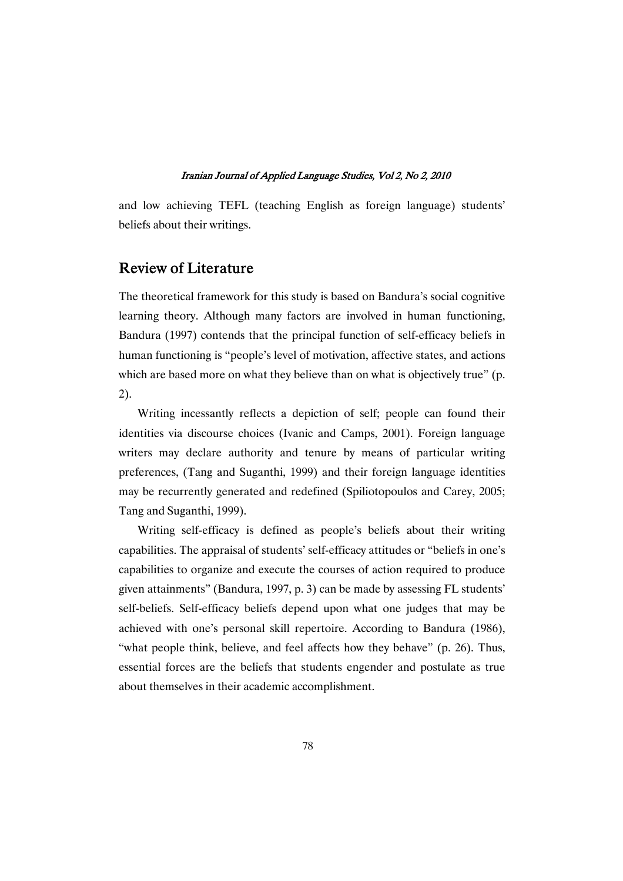and low achieving TEFL (teaching English as foreign language) students' beliefs about their writings.

# Review of Literature

The theoretical framework for this study is based on Bandura's social cognitive learning theory. Although many factors are involved in human functioning, Bandura (1997) contends that the principal function of self-efficacy beliefs in human functioning is "people's level of motivation, affective states, and actions which are based more on what they believe than on what is objectively true" (p. 2).

Writing incessantly reflects a depiction of self; people can found their identities via discourse choices (Ivanic and Camps, 2001). Foreign language writers may declare authority and tenure by means of particular writing preferences, (Tang and Suganthi, 1999) and their foreign language identities may be recurrently generated and redefined (Spiliotopoulos and Carey, 2005; Tang and Suganthi, 1999).

Writing self-efficacy is defined as people's beliefs about their writing capabilities. The appraisal of students' self-efficacy attitudes or "beliefs in one's capabilities to organize and execute the courses of action required to produce given attainments" (Bandura, 1997, p. 3) can be made by assessing FL students' self-beliefs. Self-efficacy beliefs depend upon what one judges that may be achieved with one's personal skill repertoire. According to Bandura (1986), "what people think, believe, and feel affects how they behave" (p. 26). Thus, essential forces are the beliefs that students engender and postulate as true about themselves in their academic accomplishment.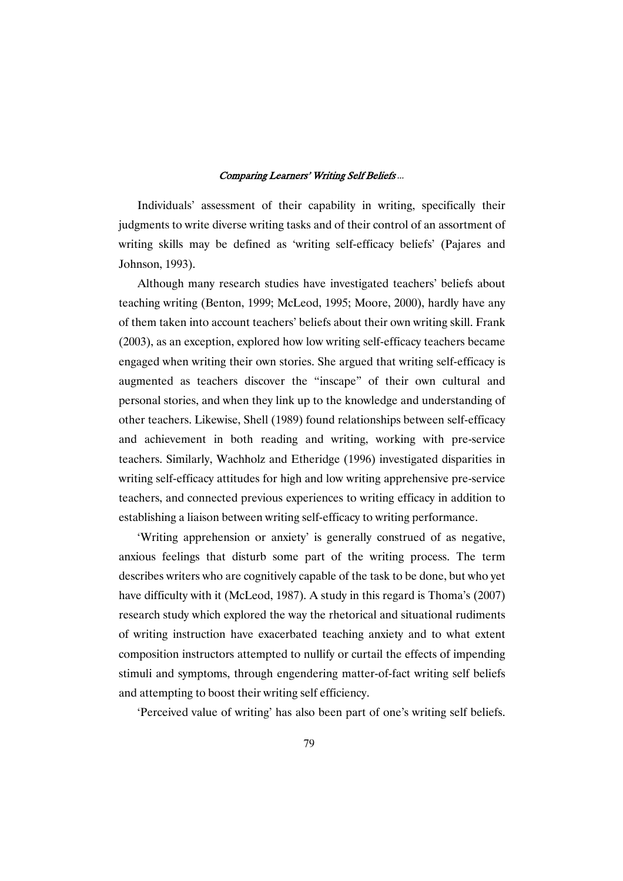Individuals' assessment of their capability in writing, specifically their judgments to write diverse writing tasks and of their control of an assortment of writing skills may be defined as 'writing self-efficacy beliefs' (Pajares and Johnson, 1993).

Although many research studies have investigated teachers' beliefs about teaching writing (Benton, 1999; McLeod, 1995; Moore, 2000), hardly have any of them taken into account teachers' beliefs about their own writing skill. Frank (2003), as an exception, explored how low writing self-efficacy teachers became engaged when writing their own stories. She argued that writing self-efficacy is augmented as teachers discover the "inscape" of their own cultural and personal stories, and when they link up to the knowledge and understanding of other teachers. Likewise, Shell (1989) found relationships between self-efficacy and achievement in both reading and writing, working with pre-service teachers. Similarly, Wachholz and Etheridge (1996) investigated disparities in writing self-efficacy attitudes for high and low writing apprehensive pre-service teachers, and connected previous experiences to writing efficacy in addition to establishing a liaison between writing self-efficacy to writing performance.

'Writing apprehension or anxiety' is generally construed of as negative, anxious feelings that disturb some part of the writing process. The term describes writers who are cognitively capable of the task to be done, but who yet have difficulty with it (McLeod, 1987). A study in this regard is Thoma's (2007) research study which explored the way the rhetorical and situational rudiments of writing instruction have exacerbated teaching anxiety and to what extent composition instructors attempted to nullify or curtail the effects of impending stimuli and symptoms, through engendering matter-of-fact writing self beliefs and attempting to boost their writing self efficiency.

'Perceived value of writing' has also been part of one's writing self beliefs.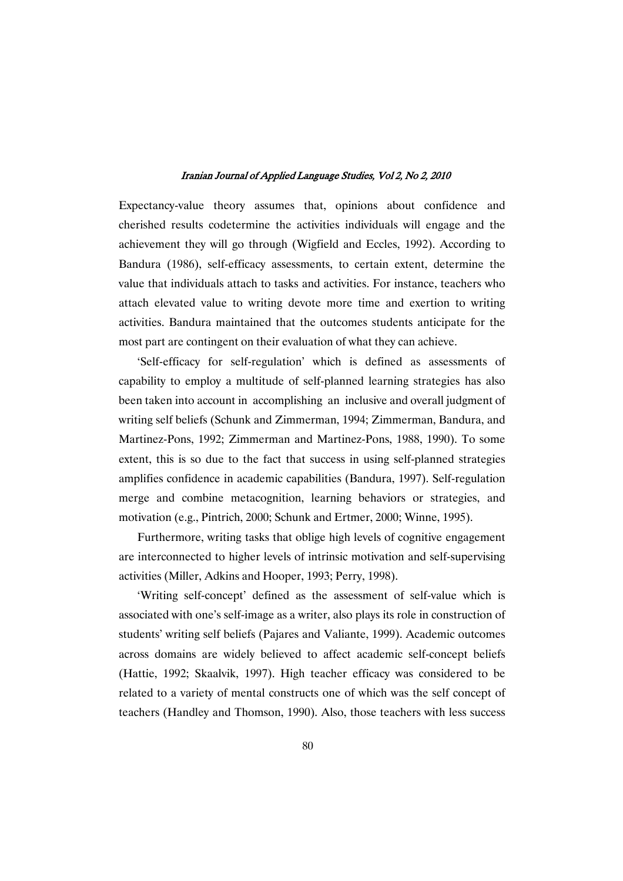Expectancy-value theory assumes that, opinions about confidence and cherished results codetermine the activities individuals will engage and the achievement they will go through (Wigfield and Eccles, 1992). According to Bandura (1986), self-efficacy assessments, to certain extent, determine the value that individuals attach to tasks and activities. For instance, teachers who attach elevated value to writing devote more time and exertion to writing activities. Bandura maintained that the outcomes students anticipate for the most part are contingent on their evaluation of what they can achieve.

'Self-efficacy for self-regulation' which is defined as assessments of capability to employ a multitude of self-planned learning strategies has also been taken into account in accomplishing an inclusive and overall judgment of writing self beliefs (Schunk and Zimmerman, 1994; Zimmerman, Bandura, and Martinez-Pons, 1992; Zimmerman and Martinez-Pons, 1988, 1990). To some extent, this is so due to the fact that success in using self-planned strategies amplifies confidence in academic capabilities (Bandura, 1997). Self-regulation merge and combine metacognition, learning behaviors or strategies, and motivation (e.g., Pintrich, 2000; Schunk and Ertmer, 2000; Winne, 1995).

Furthermore, writing tasks that oblige high levels of cognitive engagement are interconnected to higher levels of intrinsic motivation and self-supervising activities (Miller, Adkins and Hooper, 1993; Perry, 1998).

'Writing self-concept' defined as the assessment of self-value which is associated with one's self-image as a writer, also plays its role in construction of students' writing self beliefs (Pajares and Valiante, 1999). Academic outcomes across domains are widely believed to affect academic self-concept beliefs (Hattie, 1992; Skaalvik, 1997). High teacher efficacy was considered to be related to a variety of mental constructs one of which was the self concept of teachers (Handley and Thomson, 1990). Also, those teachers with less success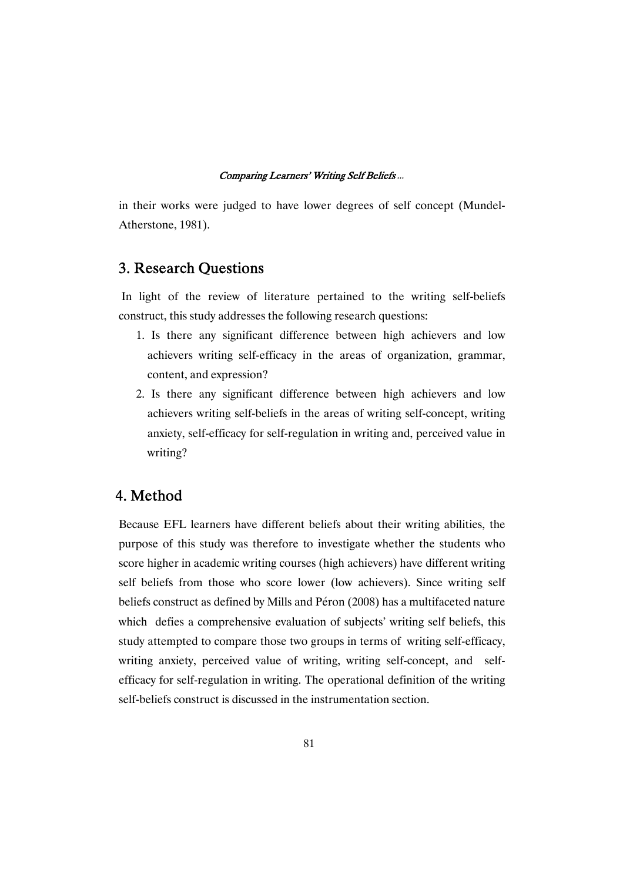in their works were judged to have lower degrees of self concept (Mundel-Atherstone, 1981).

# 3. Research Questions

In light of the review of literature pertained to the writing self-beliefs construct, this study addresses the following research questions:

- 1. Is there any significant difference between high achievers and low achievers writing self-efficacy in the areas of organization, grammar, content, and expression?
- 2. Is there any significant difference between high achievers and low achievers writing self-beliefs in the areas of writing self-concept, writing anxiety, self-efficacy for self-regulation in writing and, perceived value in writing?

# 4. Method

Because EFL learners have different beliefs about their writing abilities, the purpose of this study was therefore to investigate whether the students who score higher in academic writing courses (high achievers) have different writing self beliefs from those who score lower (low achievers). Since writing self beliefs construct as defined by Mills and Péron (2008) has a multifaceted nature which defies a comprehensive evaluation of subjects' writing self beliefs, this study attempted to compare those two groups in terms of writing self-efficacy, writing anxiety, perceived value of writing, writing self-concept, and selfefficacy for self-regulation in writing. The operational definition of the writing self-beliefs construct is discussed in the instrumentation section.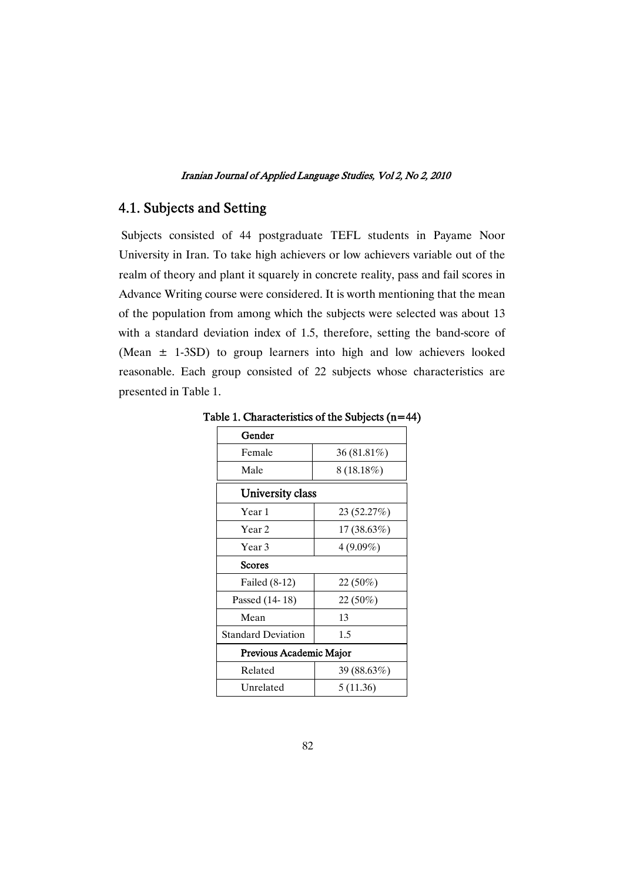### 4.1. Subjects and Setting

Subjects consisted of 44 postgraduate TEFL students in Payame Noor University in Iran. To take high achievers or low achievers variable out of the realm of theory and plant it squarely in concrete reality, pass and fail scores in Advance Writing course were considered. It is worth mentioning that the mean of the population from among which the subjects were selected was about 13 with a standard deviation index of 1.5, therefore, setting the band-score of (Mean ± 1-3SD) to group learners into high and low achievers looked reasonable. Each group consisted of 22 subjects whose characteristics are presented in Table 1.

| Gender                    |             |
|---------------------------|-------------|
| Female                    | 36 (81.81%) |
| Male                      | 8(18.18%)   |
| University class          |             |
| Year 1                    | 23 (52.27%) |
| Year 2                    | 17 (38.63%) |
| Year <sub>3</sub>         | $4(9.09\%)$ |
| <b>Scores</b>             |             |
| Failed (8-12)             | $22(50\%)$  |
| Passed (14-18)            | 22 (50%)    |
| Mean                      | 13          |
| <b>Standard Deviation</b> | 1.5         |
| Previous Academic Major   |             |
| Related                   | 39 (88.63%) |
| Unrelated                 | 5 (11.36)   |

Table 1. Characteristics of the Subjects  $(n=44)$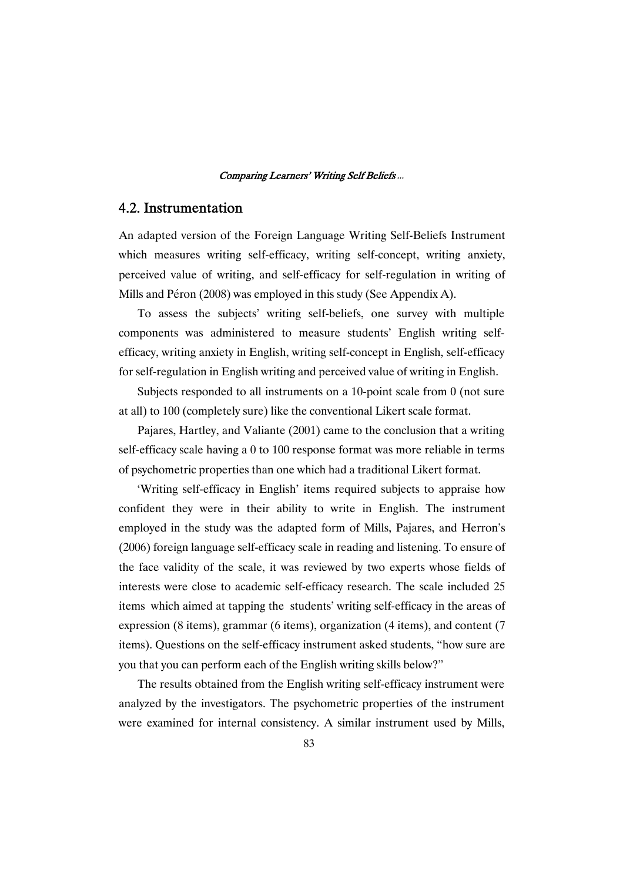### 4.2. Instrumentation

An adapted version of the Foreign Language Writing Self-Beliefs Instrument which measures writing self-efficacy, writing self-concept, writing anxiety, perceived value of writing, and self-efficacy for self-regulation in writing of Mills and Péron (2008) was employed in this study (See Appendix A).

To assess the subjects' writing self-beliefs, one survey with multiple components was administered to measure students' English writing selfefficacy, writing anxiety in English, writing self-concept in English, self-efficacy for self-regulation in English writing and perceived value of writing in English.

Subjects responded to all instruments on a 10-point scale from 0 (not sure at all) to 100 (completely sure) like the conventional Likert scale format.

Pajares, Hartley, and Valiante (2001) came to the conclusion that a writing self-efficacy scale having a 0 to 100 response format was more reliable in terms of psychometric properties than one which had a traditional Likert format.

'Writing self-efficacy in English' items required subjects to appraise how confident they were in their ability to write in English. The instrument employed in the study was the adapted form of Mills, Pajares, and Herron's (2006) foreign language self-efficacy scale in reading and listening. To ensure of the face validity of the scale, it was reviewed by two experts whose fields of interests were close to academic self-efficacy research. The scale included 25 items which aimed at tapping the students' writing self-efficacy in the areas of expression (8 items), grammar (6 items), organization (4 items), and content (7 items). Questions on the self-efficacy instrument asked students, "how sure are you that you can perform each of the English writing skills below?"

The results obtained from the English writing self-efficacy instrument were analyzed by the investigators. The psychometric properties of the instrument were examined for internal consistency. A similar instrument used by Mills,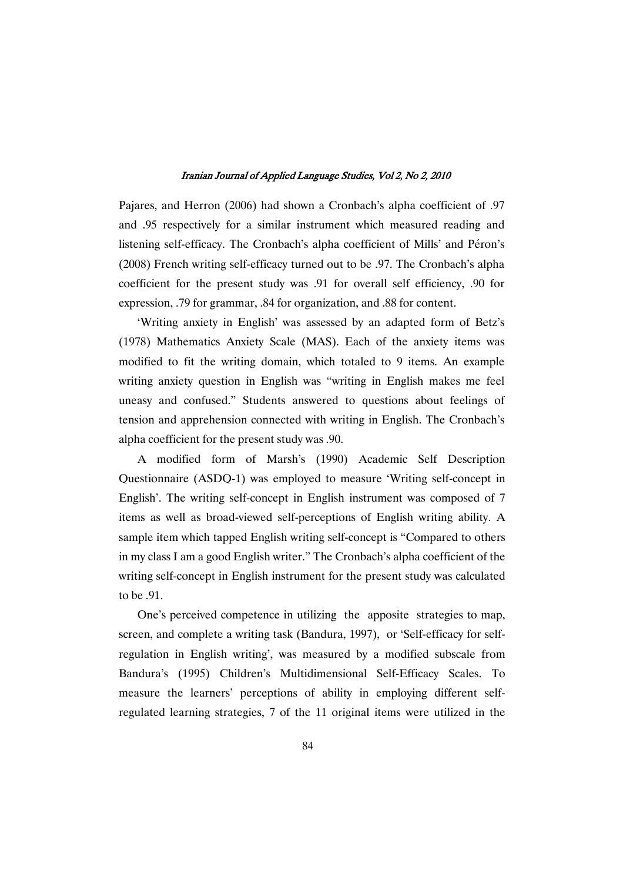Pajares, and Herron (2006) had shown a Cronbach's alpha coefficient of .97 and .95 respectively for a similar instrument which measured reading and listening self-efficacy. The Cronbach's alpha coefficient of Mills' and Péron's (2008) French writing self-efficacy turned out to be .97. The Cronbach's alpha coefficient for the present study was .91 for overall self efficiency, .90 for expression, .79 for grammar, .84 for organization, and .88 for content.

'Writing anxiety in English' was assessed by an adapted form of Betz's (1978) Mathematics Anxiety Scale (MAS). Each of the anxiety items was modified to fit the writing domain, which totaled to 9 items. An example writing anxiety question in English was "writing in English makes me feel uneasy and confused." Students answered to questions about feelings of tension and apprehension connected with writing in English. The Cronbach's alpha coefficient for the present study was .90.

A modified form of Marsh's (1990) Academic Self Description Questionnaire (ASDQ-1) was employed to measure 'Writing self-concept in English'. The writing self-concept in English instrument was composed of 7 items as well as broad-viewed self-perceptions of English writing ability. A sample item which tapped English writing self-concept is "Compared to others in my class I am a good English writer." The Cronbach's alpha coefficient of the writing self-concept in English instrument for the present study was calculated to be .91.

One's perceived competence in utilizing the apposite strategies to map, screen, and complete a writing task (Bandura, 1997), or 'Self-efficacy for selfregulation in English writing', was measured by a modified subscale from Bandura's (1995) Children's Multidimensional Self-Efficacy Scales. To measure the learners' perceptions of ability in employing different selfregulated learning strategies, 7 of the 11 original items were utilized in the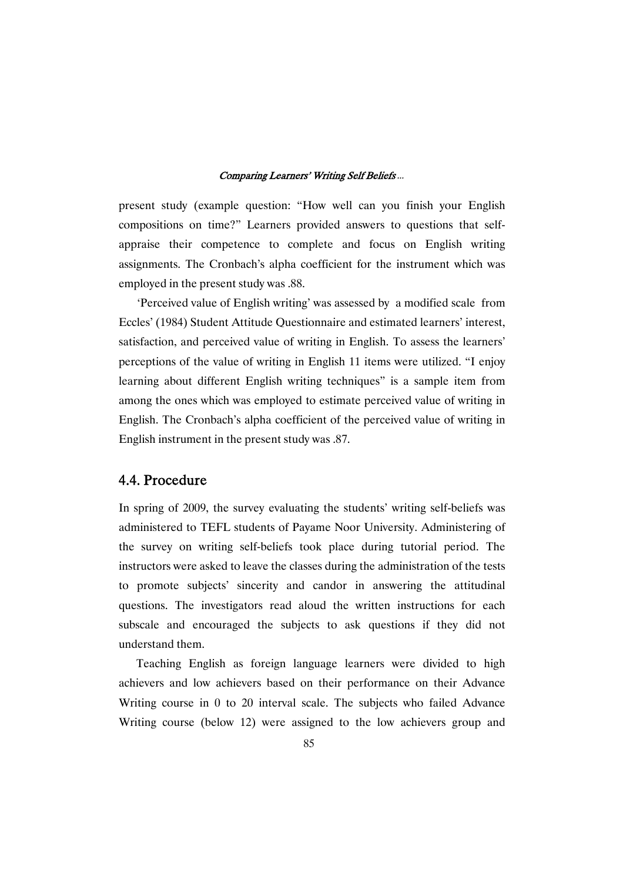present study (example question: "How well can you finish your English compositions on time?" Learners provided answers to questions that selfappraise their competence to complete and focus on English writing assignments. The Cronbach's alpha coefficient for the instrument which was employed in the present study was .88.

'Perceived value of English writing' was assessed by a modified scale from Eccles' (1984) Student Attitude Questionnaire and estimated learners' interest, satisfaction, and perceived value of writing in English. To assess the learners' perceptions of the value of writing in English 11 items were utilized. "I enjoy learning about different English writing techniques" is a sample item from among the ones which was employed to estimate perceived value of writing in English. The Cronbach's alpha coefficient of the perceived value of writing in English instrument in the present study was .87.

### 4.4. Procedure

In spring of 2009, the survey evaluating the students' writing self-beliefs was administered to TEFL students of Payame Noor University. Administering of the survey on writing self-beliefs took place during tutorial period. The instructors were asked to leave the classes during the administration of the tests to promote subjects' sincerity and candor in answering the attitudinal questions. The investigators read aloud the written instructions for each subscale and encouraged the subjects to ask questions if they did not understand them.

Teaching English as foreign language learners were divided to high achievers and low achievers based on their performance on their Advance Writing course in 0 to 20 interval scale. The subjects who failed Advance Writing course (below 12) were assigned to the low achievers group and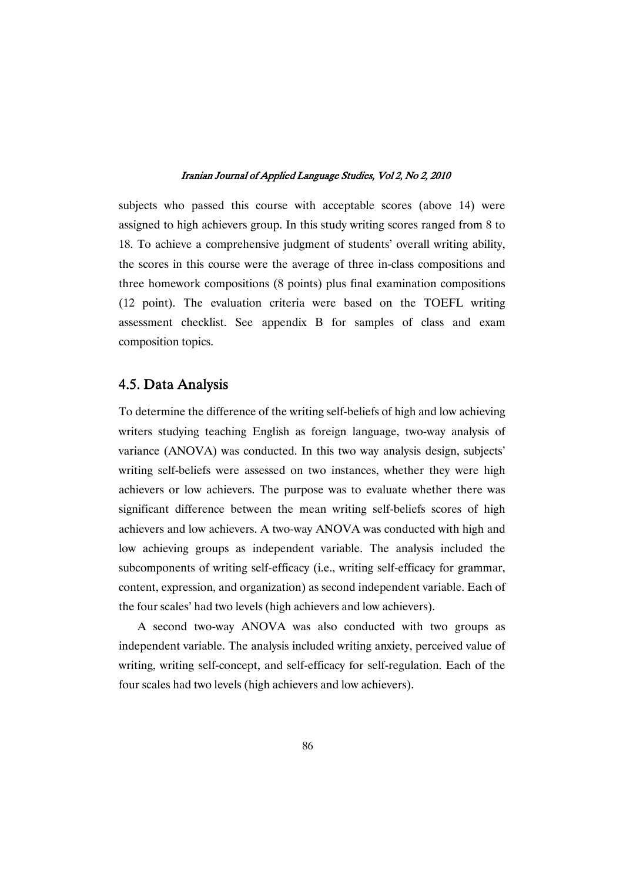subjects who passed this course with acceptable scores (above 14) were assigned to high achievers group. In this study writing scores ranged from 8 to 18. To achieve a comprehensive judgment of students' overall writing ability, the scores in this course were the average of three in-class compositions and three homework compositions (8 points) plus final examination compositions (12 point). The evaluation criteria were based on the TOEFL writing assessment checklist. See appendix B for samples of class and exam composition topics.

### 4.5. Data Analysis

To determine the difference of the writing self-beliefs of high and low achieving writers studying teaching English as foreign language, two-way analysis of variance (ANOVA) was conducted. In this two way analysis design, subjects' writing self-beliefs were assessed on two instances, whether they were high achievers or low achievers. The purpose was to evaluate whether there was significant difference between the mean writing self-beliefs scores of high achievers and low achievers. A two-way ANOVA was conducted with high and low achieving groups as independent variable. The analysis included the subcomponents of writing self-efficacy (i.e., writing self-efficacy for grammar, content, expression, and organization) as second independent variable. Each of the four scales' had two levels (high achievers and low achievers).

A second two-way ANOVA was also conducted with two groups as independent variable. The analysis included writing anxiety, perceived value of writing, writing self-concept, and self-efficacy for self-regulation. Each of the four scales had two levels (high achievers and low achievers).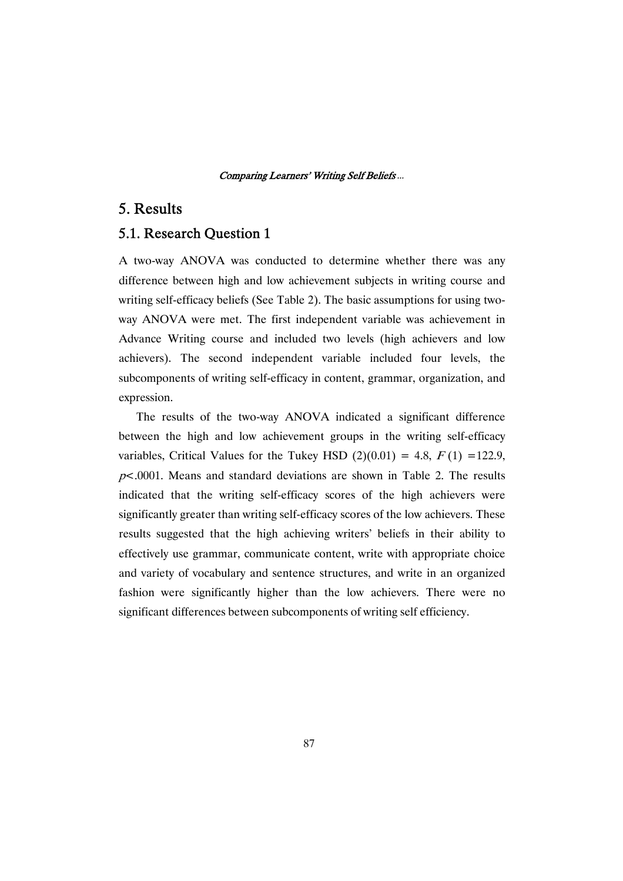# 5. Results

### 5.1. Research Question 1

A two-way ANOVA was conducted to determine whether there was any difference between high and low achievement subjects in writing course and writing self-efficacy beliefs (See Table 2). The basic assumptions for using twoway ANOVA were met. The first independent variable was achievement in Advance Writing course and included two levels (high achievers and low achievers). The second independent variable included four levels, the subcomponents of writing self-efficacy in content, grammar, organization, and expression.

The results of the two-way ANOVA indicated a significant difference between the high and low achievement groups in the writing self-efficacy variables, Critical Values for the Tukey HSD  $(2)(0.01) = 4.8$ ,  $F(1) = 122.9$ ,  $p<.0001$ . Means and standard deviations are shown in Table 2. The results indicated that the writing self-efficacy scores of the high achievers were significantly greater than writing self-efficacy scores of the low achievers. These results suggested that the high achieving writers' beliefs in their ability to effectively use grammar, communicate content, write with appropriate choice and variety of vocabulary and sentence structures, and write in an organized fashion were significantly higher than the low achievers. There were no significant differences between subcomponents of writing self efficiency.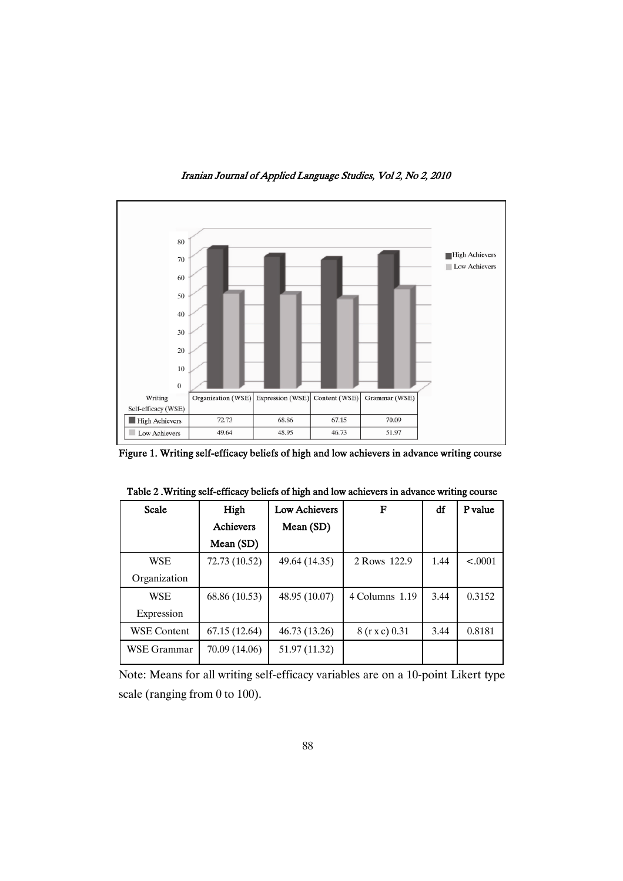

Iranian Journal of Applied Language Studies, Vol 2, No 2, 2010

Figure 1. Writing self-efficacy beliefs of high and low achievers in advance writing course

| <b>Scale</b>       | High          | Low Achievers | F              | df   | P value |
|--------------------|---------------|---------------|----------------|------|---------|
|                    | Achievers     | Mean (SD)     |                |      |         |
|                    | Mean(SD)      |               |                |      |         |
| WSE                | 72.73 (10.52) | 49.64 (14.35) | 2 Rows 122.9   | 1.44 | < .0001 |
| Organization       |               |               |                |      |         |
| WSE                | 68.86 (10.53) | 48.95 (10.07) | 4 Columns 1.19 | 3.44 | 0.3152  |
| Expression         |               |               |                |      |         |
| <b>WSE Content</b> | 67.15(12.64)  | 46.73 (13.26) | 8 (r x c) 0.31 | 3.44 | 0.8181  |
| WSE Grammar        | 70.09 (14.06) | 51.97 (11.32) |                |      |         |

|  |  |  | Table 2. Writing self-efficacy beliefs of high and low achievers in advance writing course |
|--|--|--|--------------------------------------------------------------------------------------------|
|  |  |  |                                                                                            |

Note: Means for all writing self-efficacy variables are on a 10-point Likert type scale (ranging from 0 to 100).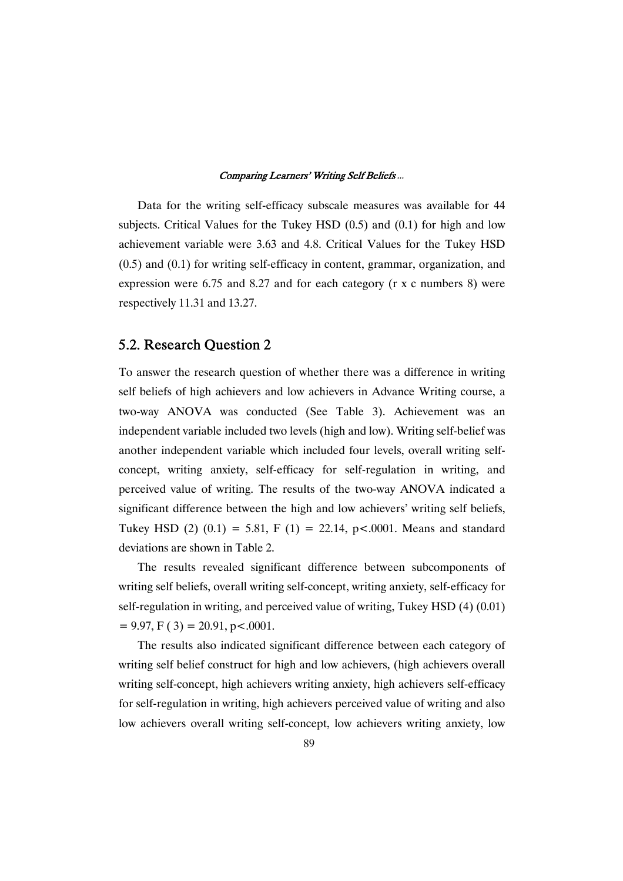Data for the writing self-efficacy subscale measures was available for 44 subjects. Critical Values for the Tukey HSD (0.5) and (0.1) for high and low achievement variable were 3.63 and 4.8. Critical Values for the Tukey HSD (0.5) and (0.1) for writing self-efficacy in content, grammar, organization, and expression were 6.75 and 8.27 and for each category (r x c numbers 8) were respectively 11.31 and 13.27.

### 5.2. Research Question 2

To answer the research question of whether there was a difference in writing self beliefs of high achievers and low achievers in Advance Writing course, a two-way ANOVA was conducted (See Table 3). Achievement was an independent variable included two levels (high and low). Writing self-belief was another independent variable which included four levels, overall writing selfconcept, writing anxiety, self-efficacy for self-regulation in writing, and perceived value of writing. The results of the two-way ANOVA indicated a significant difference between the high and low achievers' writing self beliefs, Tukey HSD (2)  $(0.1) = 5.81$ , F  $(1) = 22.14$ , p<.0001. Means and standard deviations are shown in Table 2.

The results revealed significant difference between subcomponents of writing self beliefs, overall writing self-concept, writing anxiety, self-efficacy for self-regulation in writing, and perceived value of writing, Tukey HSD (4) (0.01)  $= 9.97, F(3) = 20.91, p < .0001.$ 

The results also indicated significant difference between each category of writing self belief construct for high and low achievers, (high achievers overall writing self-concept, high achievers writing anxiety, high achievers self-efficacy for self-regulation in writing, high achievers perceived value of writing and also low achievers overall writing self-concept, low achievers writing anxiety, low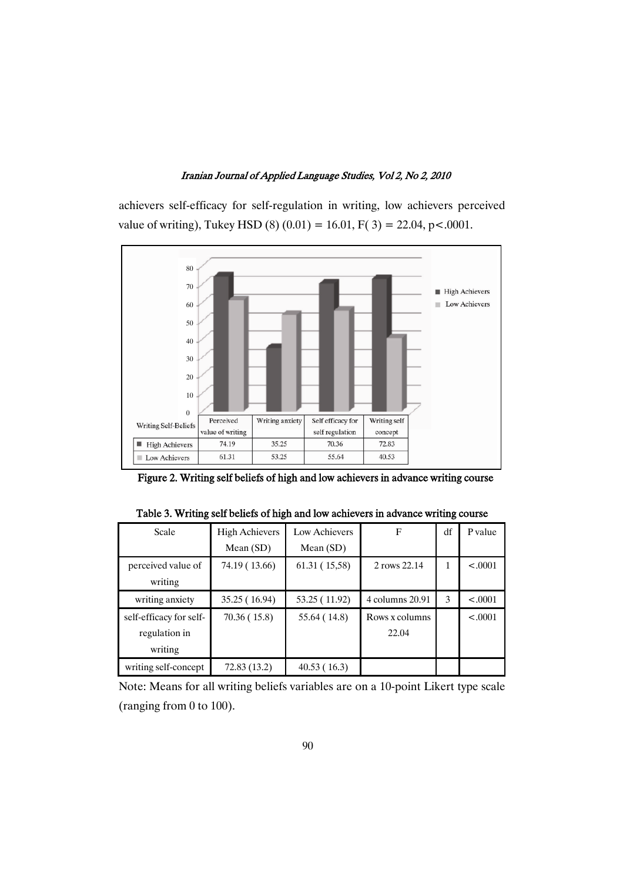achievers self-efficacy for self-regulation in writing, low achievers perceived value of writing), Tukey HSD (8)  $(0.01) = 16.01$ , F(3) = 22.04, p<.0001.



Figure 2. Writing self beliefs of high and low achievers in advance writing course

| Scale                   | <b>High Achievers</b> | Low Achievers | F                   | df | P value |
|-------------------------|-----------------------|---------------|---------------------|----|---------|
|                         | Mean $(SD)$           | Mean $(SD)$   |                     |    |         |
| perceived value of      | 74.19 (13.66)         | 61.31 (15,58) | 2 rows 22.14        | 1  | < 0001  |
| writing                 |                       |               |                     |    |         |
| writing anxiety         | 35.25 (16.94)         | 53.25 (11.92) | $4$ columns $20.91$ | 3  | < .0001 |
| self-efficacy for self- | 70.36 (15.8)          | 55.64 (14.8)  | Rows x columns      |    | < 0001  |
| regulation in           |                       |               | 22.04               |    |         |
| writing                 |                       |               |                     |    |         |
| writing self-concept    | 72.83 (13.2)          | 40.53(16.3)   |                     |    |         |

Table 3. Writing self beliefs of high and low achievers in advance writing course

Note: Means for all writing beliefs variables are on a 10-point Likert type scale (ranging from 0 to 100).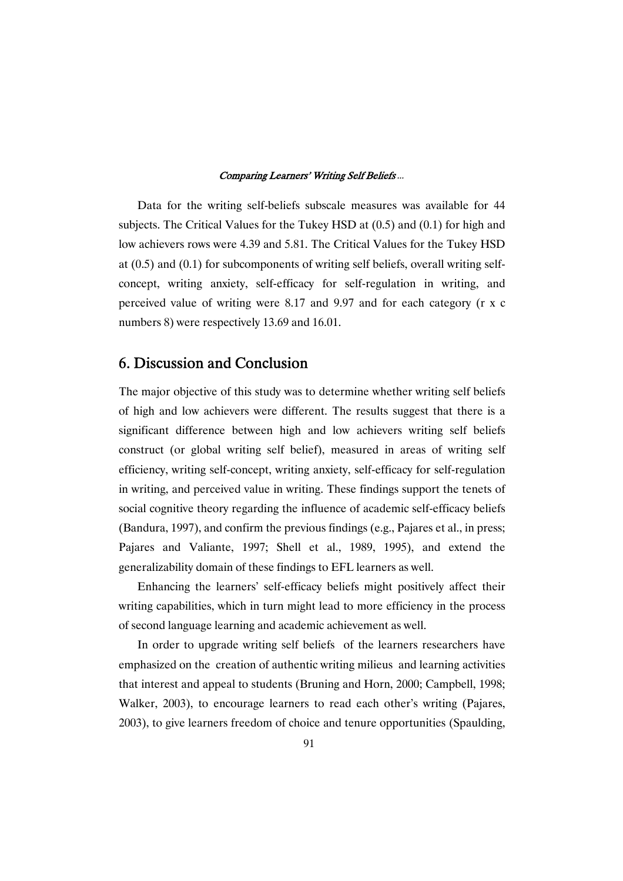Data for the writing self-beliefs subscale measures was available for 44 subjects. The Critical Values for the Tukey HSD at (0.5) and (0.1) for high and low achievers rows were 4.39 and 5.81. The Critical Values for the Tukey HSD at (0.5) and (0.1) for subcomponents of writing self beliefs, overall writing selfconcept, writing anxiety, self-efficacy for self-regulation in writing, and perceived value of writing were 8.17 and 9.97 and for each category (r x c numbers 8) were respectively 13.69 and 16.01.

# 6. Discussion and Conclusion

The major objective of this study was to determine whether writing self beliefs of high and low achievers were different. The results suggest that there is a significant difference between high and low achievers writing self beliefs construct (or global writing self belief), measured in areas of writing self efficiency, writing self-concept, writing anxiety, self-efficacy for self-regulation in writing, and perceived value in writing. These findings support the tenets of social cognitive theory regarding the influence of academic self-efficacy beliefs (Bandura, 1997), and confirm the previous findings (e.g., Pajares et al., in press; Pajares and Valiante, 1997; Shell et al., 1989, 1995), and extend the generalizability domain of these findings to EFL learners as well.

Enhancing the learners' self-efficacy beliefs might positively affect their writing capabilities, which in turn might lead to more efficiency in the process of second language learning and academic achievement as well.

In order to upgrade writing self beliefs of the learners researchers have emphasized on the creation of authentic writing milieus and learning activities that interest and appeal to students (Bruning and Horn, 2000; Campbell, 1998; Walker, 2003), to encourage learners to read each other's writing (Pajares, 2003), to give learners freedom of choice and tenure opportunities (Spaulding,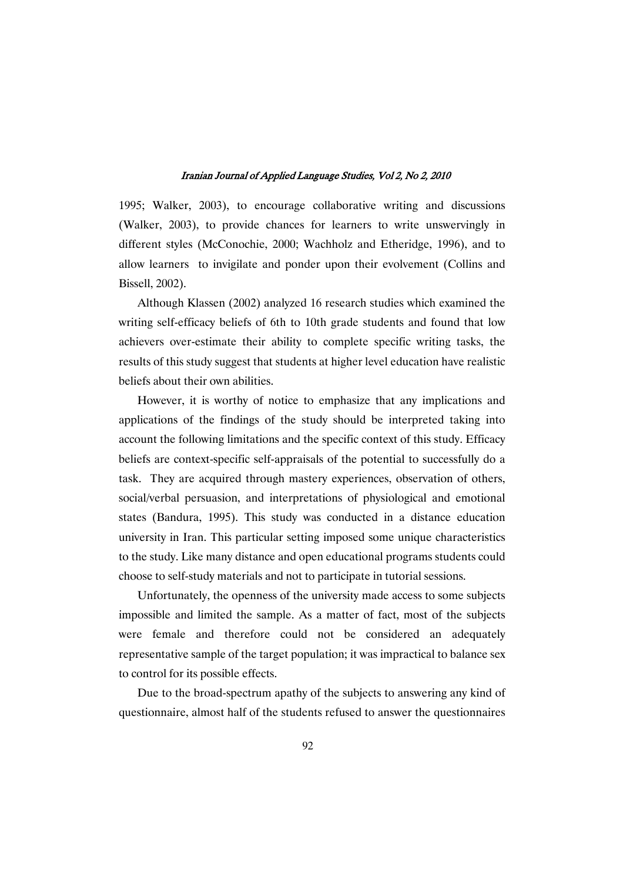1995; Walker, 2003), to encourage collaborative writing and discussions (Walker, 2003), to provide chances for learners to write unswervingly in different styles (McConochie, 2000; Wachholz and Etheridge, 1996), and to allow learners to invigilate and ponder upon their evolvement (Collins and Bissell, 2002).

Although Klassen (2002) analyzed 16 research studies which examined the writing self-efficacy beliefs of 6th to 10th grade students and found that low achievers over-estimate their ability to complete specific writing tasks, the results of this study suggest that students at higher level education have realistic beliefs about their own abilities.

However, it is worthy of notice to emphasize that any implications and applications of the findings of the study should be interpreted taking into account the following limitations and the specific context of this study. Efficacy beliefs are context-specific self-appraisals of the potential to successfully do a task. They are acquired through mastery experiences, observation of others, social/verbal persuasion, and interpretations of physiological and emotional states (Bandura, 1995). This study was conducted in a distance education university in Iran. This particular setting imposed some unique characteristics to the study. Like many distance and open educational programs students could choose to self-study materials and not to participate in tutorial sessions.

Unfortunately, the openness of the university made access to some subjects impossible and limited the sample. As a matter of fact, most of the subjects were female and therefore could not be considered an adequately representative sample of the target population; it was impractical to balance sex to control for its possible effects.

Due to the broad-spectrum apathy of the subjects to answering any kind of questionnaire, almost half of the students refused to answer the questionnaires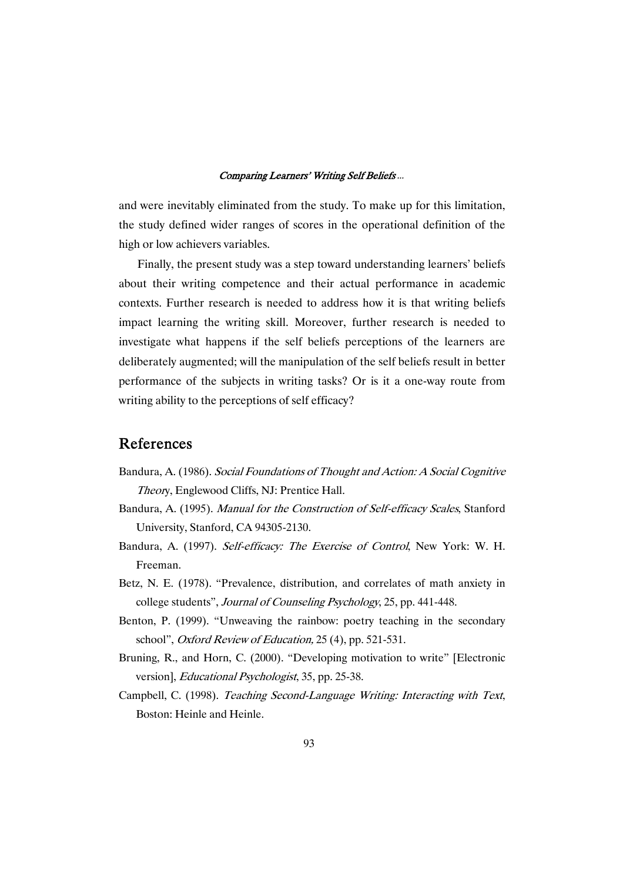and were inevitably eliminated from the study. To make up for this limitation, the study defined wider ranges of scores in the operational definition of the high or low achievers variables.

Finally, the present study was a step toward understanding learners' beliefs about their writing competence and their actual performance in academic contexts. Further research is needed to address how it is that writing beliefs impact learning the writing skill. Moreover, further research is needed to investigate what happens if the self beliefs perceptions of the learners are deliberately augmented; will the manipulation of the self beliefs result in better performance of the subjects in writing tasks? Or is it a one-way route from writing ability to the perceptions of self efficacy?

# References

- Bandura, A. (1986). Social Foundations of Thought and Action: <sup>A</sup> Social Cognitive Theory, Englewood Cliffs, NJ: Prentice Hall.
- Bandura, A. (1995). Manual for the Construction of Self-efficacy Scales, Stanford University, Stanford, CA 94305-2130.
- Bandura, A. (1997). Self-efficacy: The Exercise of Control, New York: W. H. Freeman.
- Betz, N. E. (1978). "Prevalence, distribution, and correlates of math anxiety in college students", Journal of Counseling Psychology, 25, pp. 441-448.
- Benton, P. (1999). "Unweaving the rainbow: poetry teaching in the secondary school", Oxford Review of Education, 25 (4), pp. 521-531.
- Bruning, R., and Horn, C. (2000). "Developing motivation to write" [Electronic version], Educational Psychologist, 35, pp. 25-38.
- Campbell, C. (1998). Teaching Second-Language Writing: Interacting with Text, Boston: Heinle and Heinle.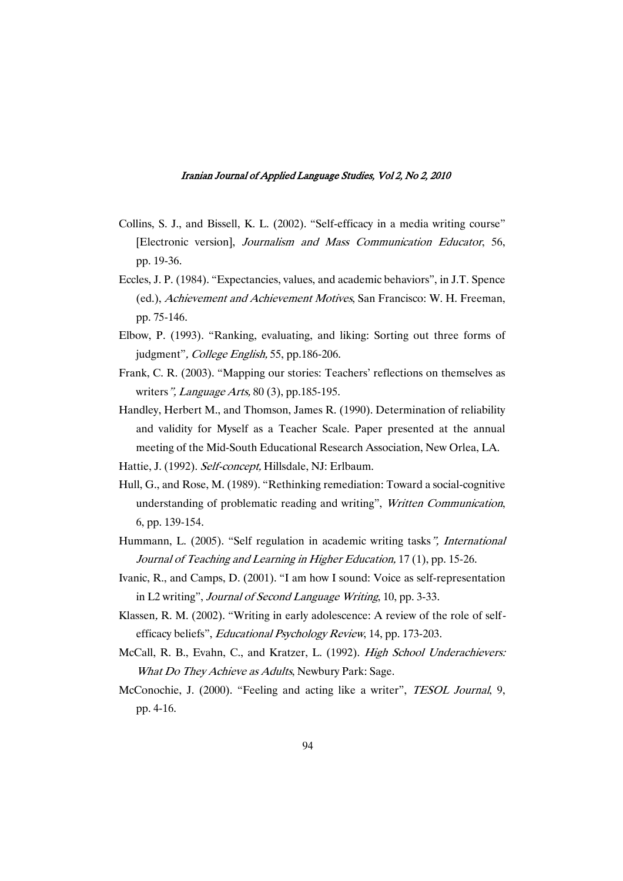- Collins, S. J., and Bissell, K. L. (2002). "Self-efficacy in a media writing course" [Electronic version], Journalism and Mass Communication Educator, 56, pp. 19-36.
- Eccles, J. P. (1984). "Expectancies, values, and academic behaviors", in J.T. Spence (ed.), Achievement and Achievement Motives, San Francisco: W. H. Freeman, pp. 75-146.
- Elbow, P. (1993). "Ranking, evaluating, and liking: Sorting out three forms of judgment", *College English*, 55, pp.186-206.
- Frank, C. R. (2003). "Mapping our stories: Teachers' reflections on themselves as writers", *Language Arts*, 80 (3), pp.185-195.
- Handley, Herbert M., and Thomson, James R. (1990). Determination of reliability and validity for Myself as a Teacher Scale. Paper presented at the annual meeting of the Mid-South Educational Research Association, New Orlea, LA.
- Hattie, J. (1992). Self-concept, Hillsdale, NJ: Erlbaum.
- Hull, G., and Rose, M. (1989). "Rethinking remediation: Toward a social-cognitive understanding of problematic reading and writing", Written Communication, 6, pp. 139-154.
- Hummann, L. (2005). "Self regulation in academic writing tasks", International Journal of Teaching and Learning in Higher Education, 17 (1), pp. 15-26.
- Ivanic, R., and Camps, D. (2001). "I am how I sound: Voice as self-representation in L2 writing", Journal of Second Language Writing, 10, pp. 3-33.
- Klassen, R. M. (2002). "Writing in early adolescence: A review of the role of selfefficacy beliefs", Educational Psychology Review, 14, pp. 173-203.
- McCall, R. B., Evahn, C., and Kratzer, L. (1992). High School Underachievers: What Do They Achieve as Adults, Newbury Park: Sage.
- McConochie, J. (2000). "Feeling and acting like a writer", TESOL Journal, 9, pp. 4-16.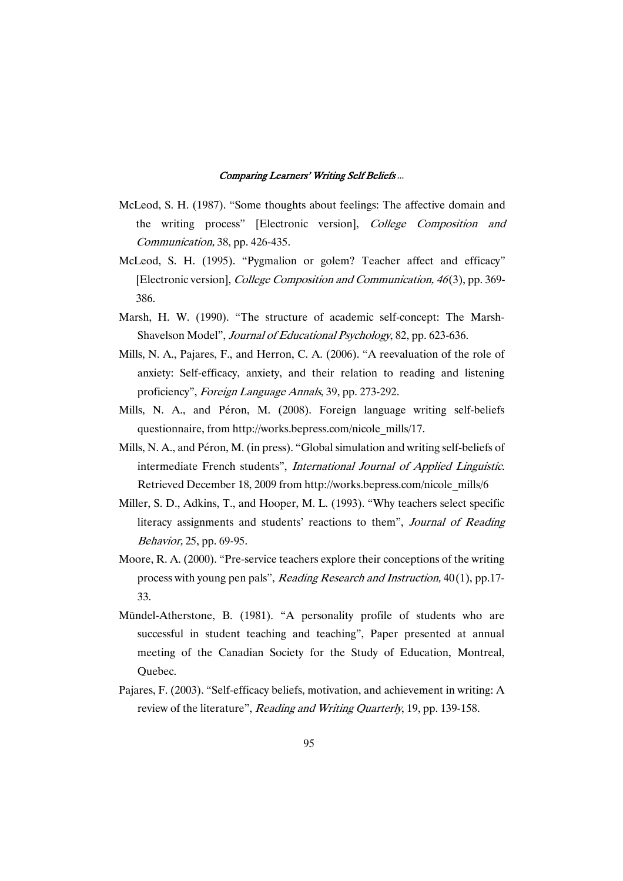- McLeod, S. H. (1987). "Some thoughts about feelings: The affective domain and the writing process" [Electronic version], College Composition and Communication, 38, pp. 426-435.
- McLeod, S. H. (1995). "Pygmalion or golem? Teacher affect and efficacy" [Electronic version], College Composition and Communication, <sup>46</sup>(3), pp. 369- 386.
- Marsh, H. W. (1990). "The structure of academic self-concept: The Marsh-Shavelson Model", Journal of Educational Psychology, 82, pp. 623-636.
- Mills, N. A., Pajares, F., and Herron, C. A. (2006). "A reevaluation of the role of anxiety: Self-efficacy, anxiety, and their relation to reading and listening proficiency", Foreign Language Annals, 39, pp. 273-292.
- Mills, N. A., and Péron, M. (2008). Foreign language writing self-beliefs questionnaire, from http://works.bepress.com/nicole\_mills/17.
- Mills, N. A., and Péron, M. (in press). "Global simulation and writing self-beliefs of intermediate French students", International Journal of Applied Linguistic. Retrieved December 18, 2009 from http://works.bepress.com/nicole\_mills/6
- Miller, S. D., Adkins, T., and Hooper, M. L. (1993). "Why teachers select specific literacy assignments and students' reactions to them", Journal of Reading Behavior, 25, pp. 69-95.
- Moore, R. A. (2000). "Pre-service teachers explore their conceptions of the writing process with young pen pals", Reading Research and Instruction, 40(1), pp.17- 33.
- Mündel-Atherstone, B. (1981). "A personality profile of students who are successful in student teaching and teaching", Paper presented at annual meeting of the Canadian Society for the Study of Education, Montreal, Quebec.
- Pajares, F. (2003). "Self-efficacy beliefs, motivation, and achievement in writing: A review of the literature", Reading and Writing Quarterly, 19, pp. 139-158.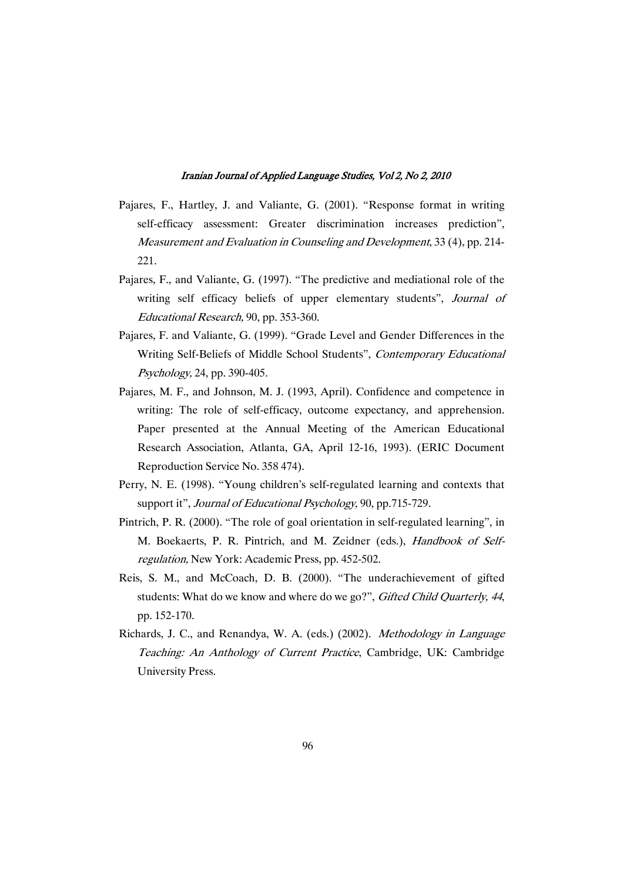- Pajares, F., Hartley, J. and Valiante, G. (2001). "Response format in writing self-efficacy assessment: Greater discrimination increases prediction", Measurement and Evaluation in Counseling and Development, 33 (4), pp. 214- 221.
- Pajares, F., and Valiante, G. (1997). "The predictive and mediational role of the writing self efficacy beliefs of upper elementary students", Journal of Educational Research, 90, pp. 353-360.
- Pajares, F. and Valiante, G. (1999). "Grade Level and Gender Differences in the Writing Self-Beliefs of Middle School Students", Contemporary Educational Psychology, 24, pp. 390-405.
- Pajares, M. F., and Johnson, M. J. (1993, April). Confidence and competence in writing: The role of self-efficacy, outcome expectancy, and apprehension. Paper presented at the Annual Meeting of the American Educational Research Association, Atlanta, GA, April 12-16, 1993). (ERIC Document Reproduction Service No. 358 474).
- Perry, N. E. (1998). "Young children's self-regulated learning and contexts that support it", Journal of Educational Psychology, 90, pp.715-729.
- Pintrich, P. R. (2000). "The role of goal orientation in self-regulated learning", in M. Boekaerts, P. R. Pintrich, and M. Zeidner (eds.), Handbook of Selfregulation, New York: Academic Press, pp. 452-502.
- Reis, S. M., and McCoach, D. B. (2000). "The underachievement of gifted students: What do we know and where do we go?", Gifted Child Quarterly, 44, pp. 152-170.
- Richards, J. C., and Renandya, W. A. (eds.) (2002). Methodology in Language Teaching: An Anthology of Current Practice, Cambridge, UK: Cambridge University Press.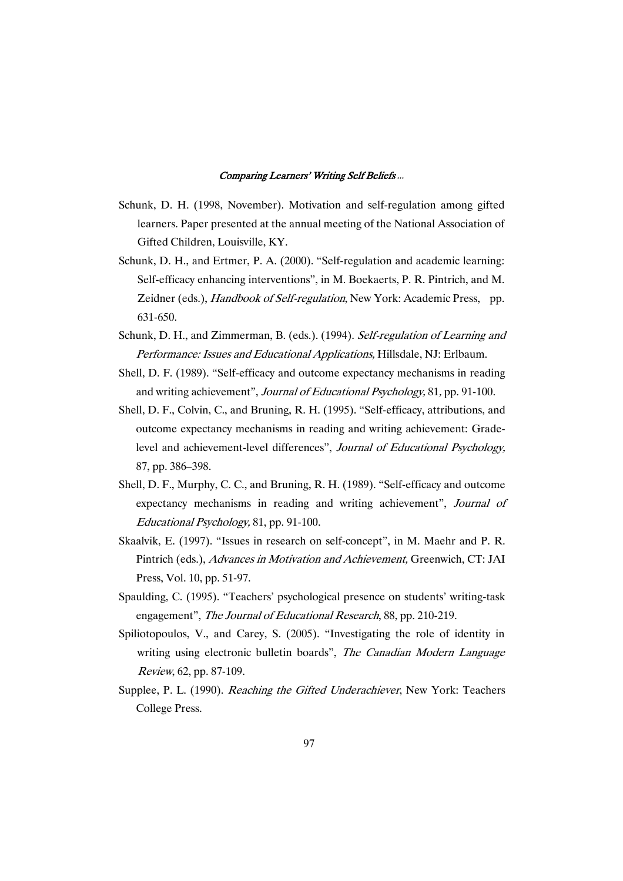- Schunk, D. H. (1998, November). Motivation and self-regulation among gifted learners. Paper presented at the annual meeting of the National Association of Gifted Children, Louisville, KY.
- Schunk, D. H., and Ertmer, P. A. (2000). "Self-regulation and academic learning: Self-efficacy enhancing interventions", in M. Boekaerts, P. R. Pintrich, and M. Zeidner (eds.), Handbook of Self-regulation, New York: Academic Press, pp. 631-650.
- Schunk, D. H., and Zimmerman, B. (eds.). (1994). Self-regulation of Learning and Performance: Issues and Educational Applications, Hillsdale, NJ: Erlbaum.
- Shell, D. F. (1989). "Self-efficacy and outcome expectancy mechanisms in reading and writing achievement", Journal of Educational Psychology, 81, pp. 91-100.
- Shell, D. F., Colvin, C., and Bruning, R. H. (1995). "Self-efficacy, attributions, and outcome expectancy mechanisms in reading and writing achievement: Gradelevel and achievement-level differences", Journal of Educational Psychology, 87, pp. 386–398.
- Shell, D. F., Murphy, C. C., and Bruning, R. H. (1989). "Self-efficacy and outcome expectancy mechanisms in reading and writing achievement", Journal of Educational Psychology, 81, pp. 91-100.
- Skaalvik, E. (1997). "Issues in research on self-concept", in M. Maehr and P. R. Pintrich (eds.), Advances in Motivation and Achievement, Greenwich, CT: JAI Press, Vol. 10, pp. 51-97.
- Spaulding, C. (1995). "Teachers' psychological presence on students' writing-task engagement", The Journal of Educational Research, 88, pp. 210-219.
- Spiliotopoulos, V., and Carey, S. (2005). "Investigating the role of identity in writing using electronic bulletin boards", The Canadian Modern Language Review, 62, pp. 87-109.
- Supplee, P. L. (1990). Reaching the Gifted Underachiever, New York: Teachers College Press.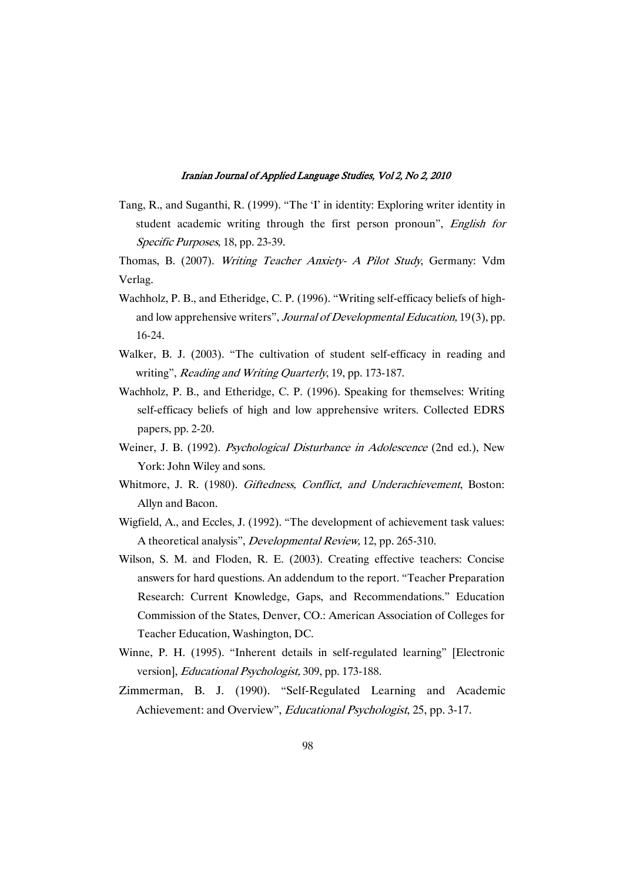Tang, R., and Suganthi, R. (1999). "The 'I' in identity: Exploring writer identity in student academic writing through the first person pronoun", English for Specific Purposes, 18, pp. 23-39.

Thomas, B. (2007). Writing Teacher Anxiety- <sup>A</sup> Pilot Study, Germany: Vdm Verlag.

- Wachholz, P. B., and Etheridge, C. P. (1996). "Writing self-efficacy beliefs of highand low apprehensive writers", Journal of Developmental Education, 19(3), pp. 16-24.
- Walker, B. J. (2003). "The cultivation of student self-efficacy in reading and writing", *Reading and Writing Quarterly*, 19, pp. 173-187.
- Wachholz, P. B., and Etheridge, C. P. (1996). Speaking for themselves: Writing self-efficacy beliefs of high and low apprehensive writers. Collected EDRS papers, pp. 2-20.
- Weiner, J. B. (1992). Psychological Disturbance in Adolescence (2nd ed.), New York: John Wiley and sons.
- Whitmore, J. R. (1980). Giftedness, Conflict, and Underachievement, Boston: Allyn and Bacon.
- Wigfield, A., and Eccles, J. (1992). "The development of achievement task values: A theoretical analysis", *Developmental Review*, 12, pp. 265-310.
- Wilson, S. M. and Floden, R. E. (2003). Creating effective teachers: Concise answers for hard questions. An addendum to the report. "Teacher Preparation Research: Current Knowledge, Gaps, and Recommendations." Education Commission of the States, Denver, CO.: American Association of Colleges for Teacher Education, Washington, DC.
- Winne, P. H. (1995). "Inherent details in self-regulated learning" [Electronic version], Educational Psychologist, 309, pp. 173-188.
- Zimmerman, B. J. (1990). "Self-Regulated Learning and Academic Achievement: and Overview", *Educational Psychologist*, 25, pp. 3-17.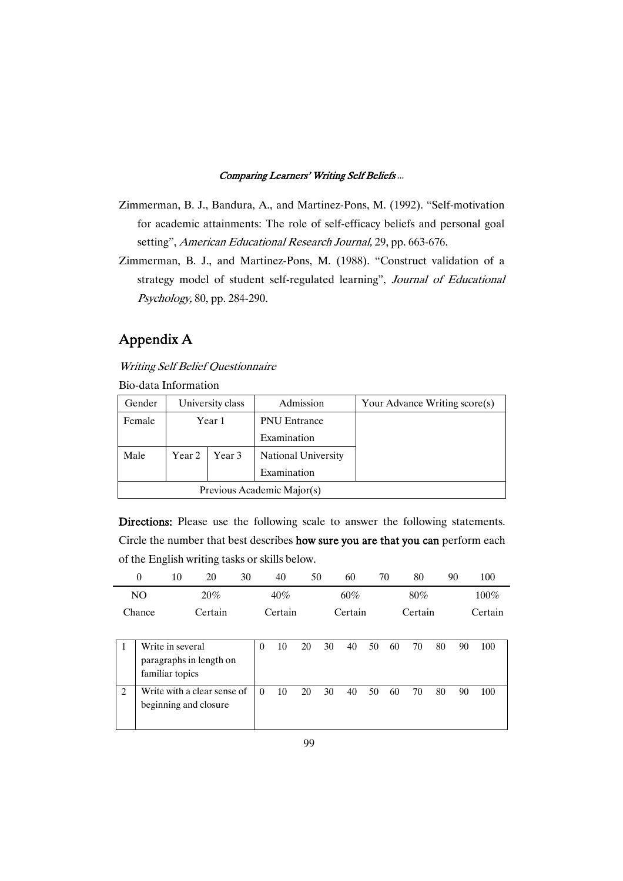- Zimmerman, B. J., Bandura, A., and Martinez-Pons, M. (1992). "Self-motivation for academic attainments: The role of self-efficacy beliefs and personal goal setting", American Educational Research Journal, 29, pp. 663-676.
- Zimmerman, B. J., and Martinez-Pons, M. (1988). "Construct validation of a strategy model of student self-regulated learning", Journal of Educational Psychology, 80, pp. 284-290.

## Appendix A

Writing Self Belief Questionnaire

Bio-data Information

| Gender |        | University class | Admission                  | Your Advance Writing score(s) |
|--------|--------|------------------|----------------------------|-------------------------------|
| Female |        | Year 1           | <b>PNU</b> Entrance        |                               |
|        |        |                  | Examination                |                               |
| Male   | Year 2 | Year 3           | National University        |                               |
|        |        |                  | Examination                |                               |
|        |        |                  | Previous Academic Major(s) |                               |

Directions: Please use the following scale to answer the following statements. Circle the number that best describes how sure you are that you can perform each of the English writing tasks or skills below.

|    | $\theta$ | 10                                  | 20                                                   | 30 |          | 40      | 50 |         | 60 |    | 70 | 80      |    | 90 | 100     |
|----|----------|-------------------------------------|------------------------------------------------------|----|----------|---------|----|---------|----|----|----|---------|----|----|---------|
|    | NO.      |                                     | 20%                                                  |    |          | 40%     |    | 60%     |    |    |    | $80\%$  |    |    | $100\%$ |
|    | Chance   |                                     | Certain                                              |    |          | Certain |    | Certain |    |    |    | Certain |    |    | Certain |
|    |          |                                     |                                                      |    |          |         |    |         |    |    |    |         |    |    |         |
| -1 |          | Write in several<br>familiar topics | paragraphs in length on                              |    | $\theta$ | 10      | 20 | 30      | 40 | 50 | 60 | 70      | 80 | 90 | 100     |
| 2  |          |                                     | Write with a clear sense of<br>beginning and closure |    | $\Omega$ | 10      | 20 | 30      | 40 | 50 | 60 | 70      | 80 | 90 | 100     |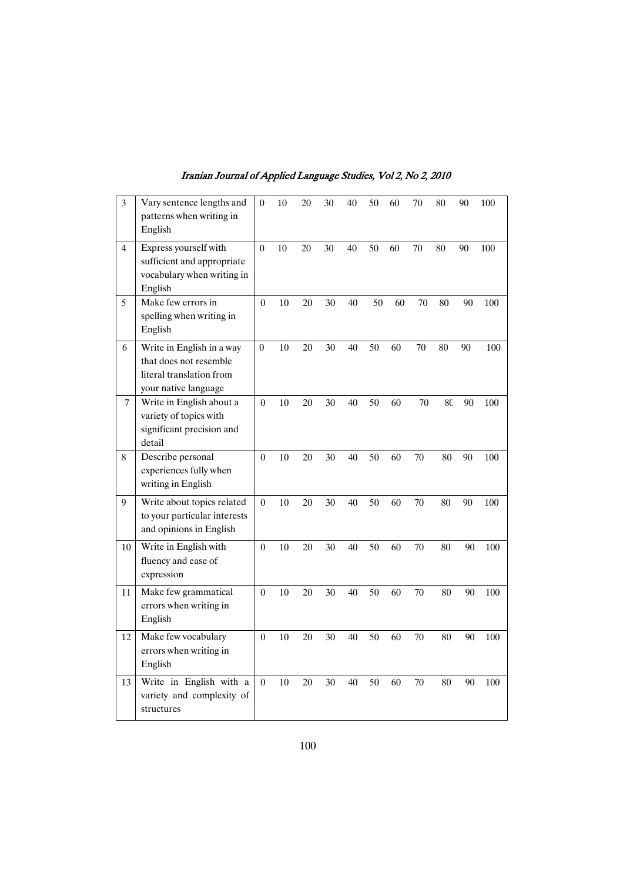| $\overline{\mathbf{3}}$ | Vary sentence lengths and<br>patterns when writing in<br>English                                        | $\overline{0}$ | 10 | 20 | 30 | 40 | 50 | 60 | 70 | 80 | 90 | 100 |
|-------------------------|---------------------------------------------------------------------------------------------------------|----------------|----|----|----|----|----|----|----|----|----|-----|
| $\overline{4}$          | Express yourself with<br>sufficient and appropriate<br>vocabulary when writing in<br>English            | $\theta$       | 10 | 20 | 30 | 40 | 50 | 60 | 70 | 80 | 90 | 100 |
| 5                       | Make few errors in<br>spelling when writing in<br>English                                               | $\theta$       | 10 | 20 | 30 | 40 | 50 | 60 | 70 | 80 | 90 | 100 |
| 6                       | Write in English in a way<br>that does not resemble<br>literal translation from<br>your native language | $\theta$       | 10 | 20 | 30 | 40 | 50 | 60 | 70 | 80 | 90 | 100 |
| 7                       | Write in English about a<br>variety of topics with<br>significant precision and<br>detail               | $\overline{0}$ | 10 | 20 | 30 | 40 | 50 | 60 | 70 | 80 | 90 | 100 |
| 8                       | Describe personal<br>experiences fully when<br>writing in English                                       | $\overline{0}$ | 10 | 20 | 30 | 40 | 50 | 60 | 70 | 80 | 90 | 100 |
| 9                       | Write about topics related<br>to your particular interests<br>and opinions in English                   | $\theta$       | 10 | 20 | 30 | 40 | 50 | 60 | 70 | 80 | 90 | 100 |
| 10                      | Write in English with<br>fluency and ease of<br>expression                                              | $\theta$       | 10 | 20 | 30 | 40 | 50 | 60 | 70 | 80 | 90 | 100 |
| 11                      | Make few grammatical<br>errors when writing in<br>English                                               | $\theta$       | 10 | 20 | 30 | 40 | 50 | 60 | 70 | 80 | 90 | 100 |
| 12                      | Make few vocabulary<br>errors when writing in<br>English                                                | $\theta$       | 10 | 20 | 30 | 40 | 50 | 60 | 70 | 80 | 90 | 100 |
| 13                      | Write in English with a<br>variety and complexity of<br>structures                                      | $\overline{0}$ | 10 | 20 | 30 | 40 | 50 | 60 | 70 | 80 | 90 | 100 |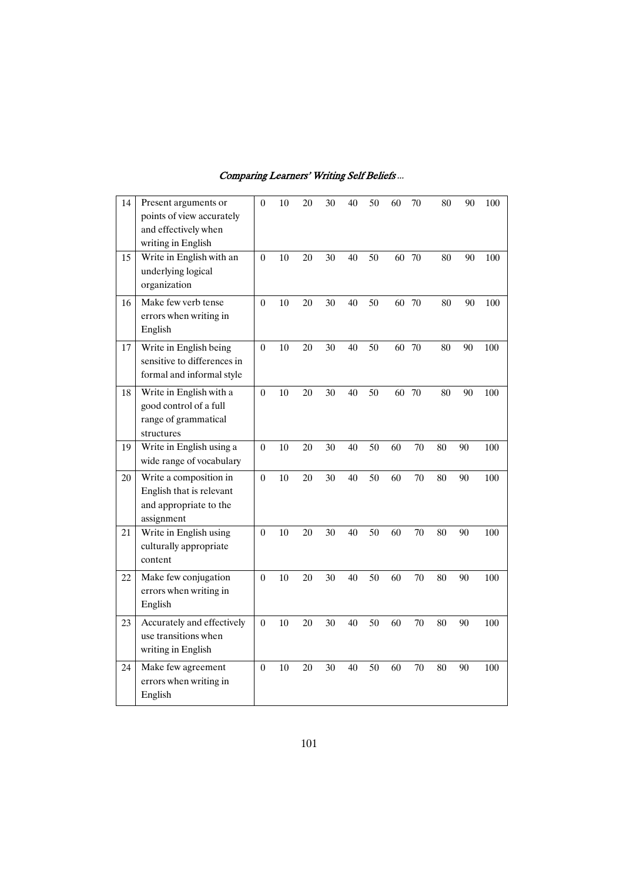| 14 | Present arguments or<br>points of view accurately<br>and effectively when                  | $\overline{0}$ | 10 | 20 | 30 | 40 | 50 | 60 | 70 | 80 | 90 | 100 |
|----|--------------------------------------------------------------------------------------------|----------------|----|----|----|----|----|----|----|----|----|-----|
|    | writing in English                                                                         |                |    |    |    |    |    |    |    |    |    |     |
| 15 | Write in English with an<br>underlying logical<br>organization                             | $\overline{0}$ | 10 | 20 | 30 | 40 | 50 | 60 | 70 | 80 | 90 | 100 |
| 16 | Make few verb tense<br>errors when writing in<br>English                                   | $\overline{0}$ | 10 | 20 | 30 | 40 | 50 | 60 | 70 | 80 | 90 | 100 |
| 17 | Write in English being<br>sensitive to differences in<br>formal and informal style         | $\overline{0}$ | 10 | 20 | 30 | 40 | 50 | 60 | 70 | 80 | 90 | 100 |
| 18 | Write in English with a<br>good control of a full<br>range of grammatical<br>structures    | $\theta$       | 10 | 20 | 30 | 40 | 50 | 60 | 70 | 80 | 90 | 100 |
| 19 | Write in English using a<br>wide range of vocabulary                                       | $\overline{0}$ | 10 | 20 | 30 | 40 | 50 | 60 | 70 | 80 | 90 | 100 |
| 20 | Write a composition in<br>English that is relevant<br>and appropriate to the<br>assignment | $\overline{0}$ | 10 | 20 | 30 | 40 | 50 | 60 | 70 | 80 | 90 | 100 |
| 21 | Write in English using<br>culturally appropriate<br>content                                | $\overline{0}$ | 10 | 20 | 30 | 40 | 50 | 60 | 70 | 80 | 90 | 100 |
| 22 | Make few conjugation<br>errors when writing in<br>English                                  | $\overline{0}$ | 10 | 20 | 30 | 40 | 50 | 60 | 70 | 80 | 90 | 100 |
| 23 | Accurately and effectively<br>use transitions when<br>writing in English                   | $\theta$       | 10 | 20 | 30 | 40 | 50 | 60 | 70 | 80 | 90 | 100 |
| 24 | Make few agreement<br>errors when writing in<br>English                                    | $\overline{0}$ | 10 | 20 | 30 | 40 | 50 | 60 | 70 | 80 | 90 | 100 |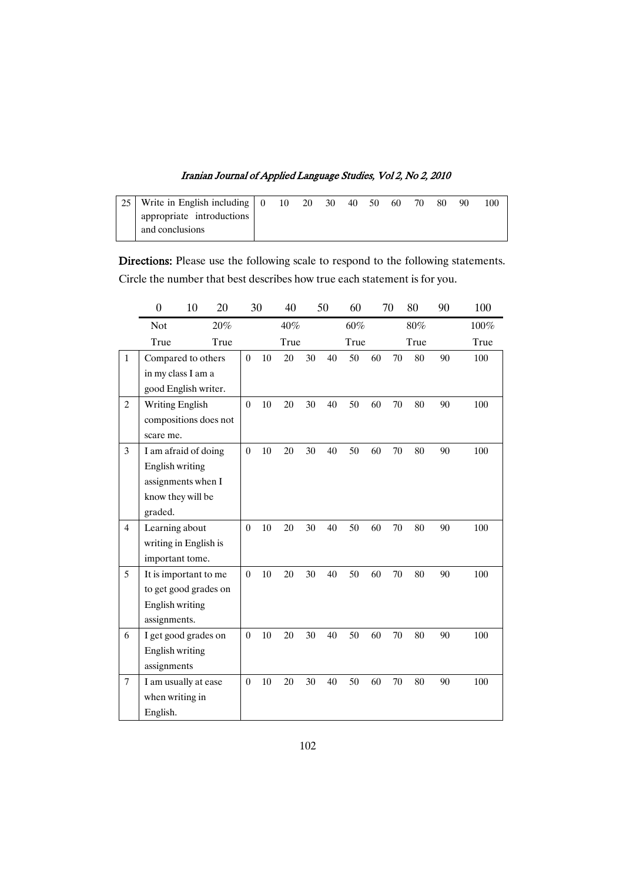Iranian Journal of Applied Language Studies, Vol 2, No 2, 2010

| $\vert$ 25 Write in English including $\vert$ 0 | 10 | <b>20</b> | 30 · | 40 | -50 | 60 | 70 | 80 | 90 |  |
|-------------------------------------------------|----|-----------|------|----|-----|----|----|----|----|--|
| I appropriate introductions                     |    |           |      |    |     |    |    |    |    |  |
| and conclusions                                 |    |           |      |    |     |    |    |    |    |  |

Directions: Please use the following scale to respond to the following statements. Circle the number that best describes how true each statement is for you.

|                | $\overline{0}$         | 10 | 20   | 30       |    | 40   |    | 50 | 60   |    | 70 | 80   | 90 | 100  |
|----------------|------------------------|----|------|----------|----|------|----|----|------|----|----|------|----|------|
|                | <b>Not</b>             |    | 20%  |          |    | 40%  |    |    | 60%  |    |    | 80%  |    | 100% |
|                | True                   |    | True |          |    | True |    |    | True |    |    | True |    | True |
| $\mathbf{1}$   | Compared to others     |    |      | $\theta$ | 10 | 20   | 30 | 40 | 50   | 60 | 70 | 80   | 90 | 100  |
|                | in my class I am a     |    |      |          |    |      |    |    |      |    |    |      |    |      |
|                | good English writer.   |    |      |          |    |      |    |    |      |    |    |      |    |      |
| $\overline{c}$ | <b>Writing English</b> |    |      | $\theta$ | 10 | 20   | 30 | 40 | 50   | 60 | 70 | 80   | 90 | 100  |
|                | compositions does not  |    |      |          |    |      |    |    |      |    |    |      |    |      |
|                | scare me.              |    |      |          |    |      |    |    |      |    |    |      |    |      |
| 3              | I am afraid of doing   |    |      | $\theta$ | 10 | 20   | 30 | 40 | 50   | 60 | 70 | 80   | 90 | 100  |
|                | English writing        |    |      |          |    |      |    |    |      |    |    |      |    |      |
|                | assignments when I     |    |      |          |    |      |    |    |      |    |    |      |    |      |
|                | know they will be      |    |      |          |    |      |    |    |      |    |    |      |    |      |
|                | graded.                |    |      |          |    |      |    |    |      |    |    |      |    |      |
| $\overline{4}$ | Learning about         |    |      | $\theta$ | 10 | 20   | 30 | 40 | 50   | 60 | 70 | 80   | 90 | 100  |
|                | writing in English is  |    |      |          |    |      |    |    |      |    |    |      |    |      |
|                | important tome.        |    |      |          |    |      |    |    |      |    |    |      |    |      |
| 5              | It is important to me  |    |      | $\theta$ | 10 | 20   | 30 | 40 | 50   | 60 | 70 | 80   | 90 | 100  |
|                | to get good grades on  |    |      |          |    |      |    |    |      |    |    |      |    |      |
|                | English writing        |    |      |          |    |      |    |    |      |    |    |      |    |      |
|                | assignments.           |    |      |          |    |      |    |    |      |    |    |      |    |      |
| 6              | I get good grades on   |    |      | $\theta$ | 10 | 20   | 30 | 40 | 50   | 60 | 70 | 80   | 90 | 100  |
|                | English writing        |    |      |          |    |      |    |    |      |    |    |      |    |      |
|                | assignments            |    |      |          |    |      |    |    |      |    |    |      |    |      |
| $\tau$         | I am usually at ease   |    |      | $\theta$ | 10 | 20   | 30 | 40 | 50   | 60 | 70 | 80   | 90 | 100  |
|                | when writing in        |    |      |          |    |      |    |    |      |    |    |      |    |      |
|                | English.               |    |      |          |    |      |    |    |      |    |    |      |    |      |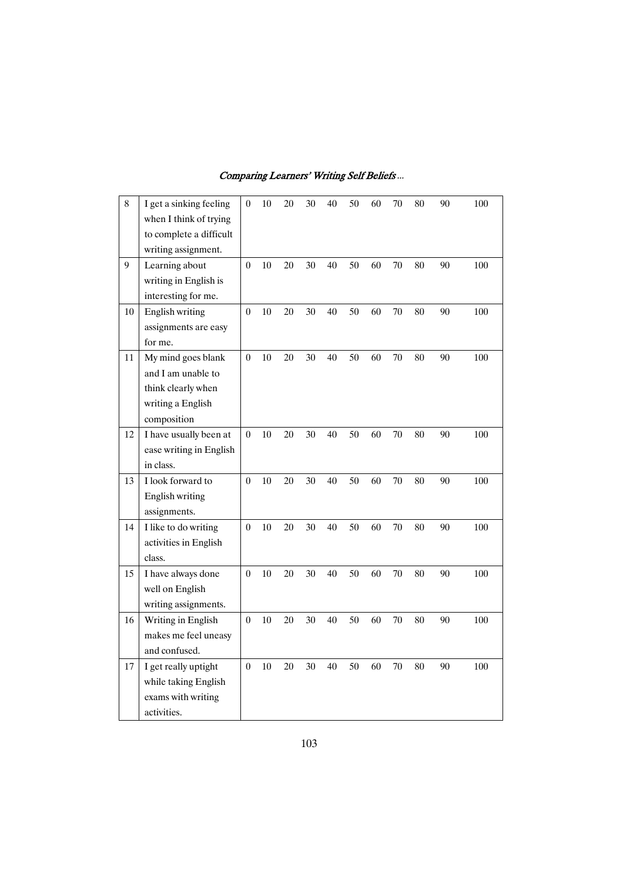| I get a sinking feeling | $\overline{0}$   | 10 | 20 |    | 40 | 50 | 60 | 70 | 80              | 90 | 100 |
|-------------------------|------------------|----|----|----|----|----|----|----|-----------------|----|-----|
| when I think of trying  |                  |    |    |    |    |    |    |    |                 |    |     |
| to complete a difficult |                  |    |    |    |    |    |    |    |                 |    |     |
| writing assignment.     |                  |    |    |    |    |    |    |    |                 |    |     |
| Learning about          | $\overline{0}$   | 10 | 20 | 30 | 40 | 50 | 60 | 70 | 80              | 90 | 100 |
| writing in English is   |                  |    |    |    |    |    |    |    |                 |    |     |
| interesting for me.     |                  |    |    |    |    |    |    |    |                 |    |     |
| English writing         | $\theta$         | 10 | 20 | 30 | 40 | 50 | 60 | 70 | 80              | 90 | 100 |
| assignments are easy    |                  |    |    |    |    |    |    |    |                 |    |     |
| for me.                 |                  |    |    |    |    |    |    |    |                 |    |     |
| My mind goes blank      | $\overline{0}$   | 10 | 20 | 30 | 40 | 50 | 60 | 70 | 80              | 90 | 100 |
| and I am unable to      |                  |    |    |    |    |    |    |    |                 |    |     |
| think clearly when      |                  |    |    |    |    |    |    |    |                 |    |     |
| writing a English       |                  |    |    |    |    |    |    |    |                 |    |     |
| composition             |                  |    |    |    |    |    |    |    |                 |    |     |
| I have usually been at  | $\overline{0}$   | 10 | 20 | 30 | 40 | 50 | 60 | 70 | 80              | 90 | 100 |
| ease writing in English |                  |    |    |    |    |    |    |    |                 |    |     |
| in class.               |                  |    |    |    |    |    |    |    |                 |    |     |
| I look forward to       | $\theta$         | 10 | 20 | 30 | 40 | 50 | 60 | 70 | 80              | 90 | 100 |
|                         |                  |    |    |    |    |    |    |    |                 |    |     |
|                         |                  |    |    |    |    |    |    |    |                 |    |     |
| assignments.            |                  |    |    |    |    |    |    |    |                 |    |     |
| I like to do writing    | $\overline{0}$   | 10 | 20 | 30 | 40 | 50 | 60 | 70 | 80              | 90 | 100 |
| activities in English   |                  |    |    |    |    |    |    |    |                 |    |     |
| class.                  |                  |    |    |    |    |    |    |    |                 |    |     |
| I have always done      | $\boldsymbol{0}$ | 10 | 20 | 30 | 40 | 50 | 60 | 70 | 80              | 90 | 100 |
| well on English         |                  |    |    |    |    |    |    |    |                 |    |     |
| writing assignments.    |                  |    |    |    |    |    |    |    |                 |    |     |
| Writing in English      | $\boldsymbol{0}$ | 10 | 20 | 30 | 40 | 50 | 60 | 70 | 80              | 90 | 100 |
| makes me feel uneasy    |                  |    |    |    |    |    |    |    |                 |    |     |
| and confused.           |                  |    |    |    |    |    |    |    |                 |    |     |
| I get really uptight    | $\overline{0}$   | 10 | 20 | 30 | 40 | 50 | 60 | 70 | 80              | 90 | 100 |
| while taking English    |                  |    |    |    |    |    |    |    |                 |    |     |
| exams with writing      |                  |    |    |    |    |    |    |    |                 |    |     |
|                         |                  |    |    |    | 30 |    |    |    | English writing |    |     |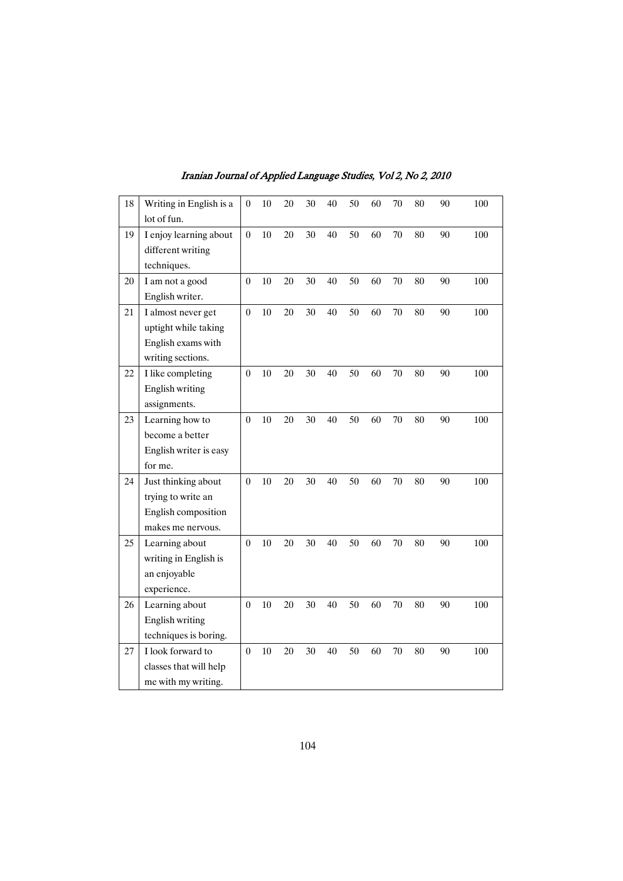| 18 | Writing in English is a<br>lot of fun. | $\boldsymbol{0}$ | 10 | 20 | 30 | 40 | 50 | 60 | 70 | 80 | 90 | 100 |
|----|----------------------------------------|------------------|----|----|----|----|----|----|----|----|----|-----|
|    |                                        |                  |    |    |    |    | 50 |    |    |    |    |     |
| 19 | I enjoy learning about                 | $\overline{0}$   | 10 | 20 | 30 | 40 |    | 60 | 70 | 80 | 90 | 100 |
|    | different writing                      |                  |    |    |    |    |    |    |    |    |    |     |
|    | techniques.                            |                  |    |    |    |    |    |    |    |    |    |     |
| 20 | I am not a good                        | $\boldsymbol{0}$ | 10 | 20 | 30 | 40 | 50 | 60 | 70 | 80 | 90 | 100 |
|    | English writer.                        |                  |    |    |    |    |    |    |    |    |    |     |
| 21 | I almost never get                     | $\boldsymbol{0}$ | 10 | 20 | 30 | 40 | 50 | 60 | 70 | 80 | 90 | 100 |
|    | uptight while taking                   |                  |    |    |    |    |    |    |    |    |    |     |
|    | English exams with                     |                  |    |    |    |    |    |    |    |    |    |     |
|    | writing sections.                      |                  |    |    |    |    |    |    |    |    |    |     |
| 22 | I like completing                      | $\boldsymbol{0}$ | 10 | 20 | 30 | 40 | 50 | 60 | 70 | 80 | 90 | 100 |
|    | English writing                        |                  |    |    |    |    |    |    |    |    |    |     |
|    | assignments.                           |                  |    |    |    |    |    |    |    |    |    |     |
| 23 | Learning how to                        | $\boldsymbol{0}$ | 10 | 20 | 30 | 40 | 50 | 60 | 70 | 80 | 90 | 100 |
|    | become a better                        |                  |    |    |    |    |    |    |    |    |    |     |
|    | English writer is easy                 |                  |    |    |    |    |    |    |    |    |    |     |
|    | for me.                                |                  |    |    |    |    |    |    |    |    |    |     |
| 24 | Just thinking about                    | $\overline{0}$   | 10 | 20 | 30 | 40 | 50 | 60 | 70 | 80 | 90 | 100 |
|    | trying to write an                     |                  |    |    |    |    |    |    |    |    |    |     |
|    | English composition                    |                  |    |    |    |    |    |    |    |    |    |     |
|    | makes me nervous.                      |                  |    |    |    |    |    |    |    |    |    |     |
| 25 | Learning about                         | $\theta$         | 10 | 20 | 30 | 40 | 50 | 60 | 70 | 80 | 90 | 100 |
|    | writing in English is                  |                  |    |    |    |    |    |    |    |    |    |     |
|    | an enjoyable                           |                  |    |    |    |    |    |    |    |    |    |     |
|    | experience.                            |                  |    |    |    |    |    |    |    |    |    |     |
| 26 | Learning about                         | $\boldsymbol{0}$ | 10 | 20 | 30 | 40 | 50 | 60 | 70 | 80 | 90 | 100 |
|    | English writing                        |                  |    |    |    |    |    |    |    |    |    |     |
|    | techniques is boring.                  |                  |    |    |    |    |    |    |    |    |    |     |
| 27 | I look forward to                      | $\boldsymbol{0}$ | 10 | 20 | 30 | 40 | 50 | 60 | 70 | 80 | 90 | 100 |
|    | classes that will help                 |                  |    |    |    |    |    |    |    |    |    |     |
|    | me with my writing.                    |                  |    |    |    |    |    |    |    |    |    |     |
|    |                                        |                  |    |    |    |    |    |    |    |    |    |     |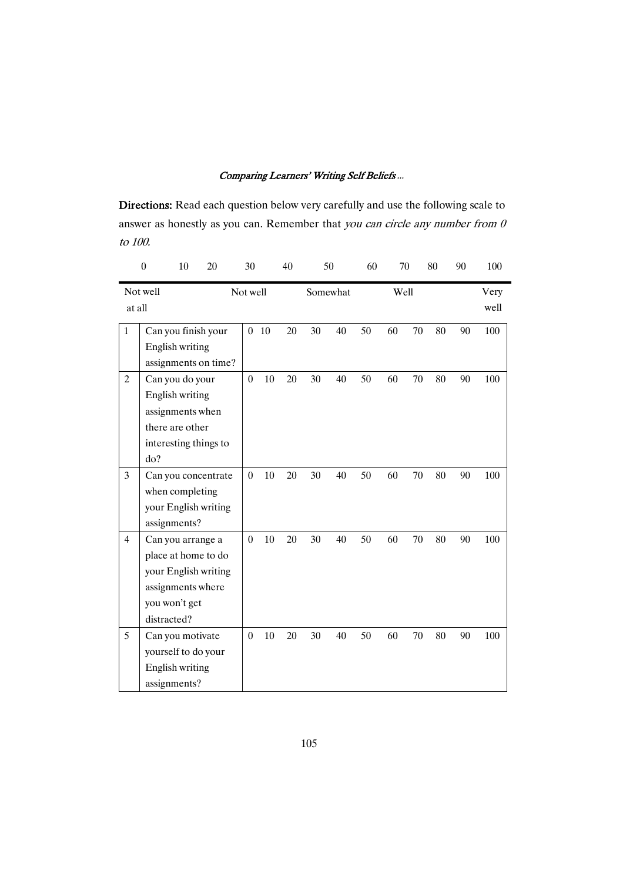Directions: Read each question below very carefully and use the following scale to answer as honestly as you can. Remember that *you can circle any number from*  $0$ to 100.

|                    | $\theta$                                                       | 10                                                                        | 20                                          | 30       |           | 40 |      | 50 | 60 | 70 |    | 80           | 90 | 100 |
|--------------------|----------------------------------------------------------------|---------------------------------------------------------------------------|---------------------------------------------|----------|-----------|----|------|----|----|----|----|--------------|----|-----|
| Not well<br>at all |                                                                |                                                                           | Not well                                    |          | Somewhat  |    | Well |    |    |    |    | Very<br>well |    |     |
| $\mathbf{1}$       | Can you finish your<br>English writing<br>assignments on time? |                                                                           |                                             | $\theta$ | <b>10</b> | 20 | 30   | 40 | 50 | 60 | 70 | 80           | 90 | 100 |
| $\overline{c}$     | do?                                                            | Can you do your<br>English writing<br>assignments when<br>there are other | interesting things to                       | $\theta$ | 10        | 20 | 30   | 40 | 50 | 60 | 70 | 80           | 90 | 100 |
| $\overline{3}$     |                                                                | when completing<br>assignments?                                           | Can you concentrate<br>your English writing | $\theta$ | 10        | 20 | 30   | 40 | 50 | 60 | 70 | 80           | 90 | 100 |
| $\overline{4}$     | distracted?                                                    | Can you arrange a<br>assignments where<br>you won't get                   | place at home to do<br>your English writing | $\theta$ | 10        | 20 | 30   | 40 | 50 | 60 | 70 | 80           | 90 | 100 |
| 5                  |                                                                | Can you motivate<br>English writing<br>assignments?                       | yourself to do your                         | $\theta$ | 10        | 20 | 30   | 40 | 50 | 60 | 70 | 80           | 90 | 100 |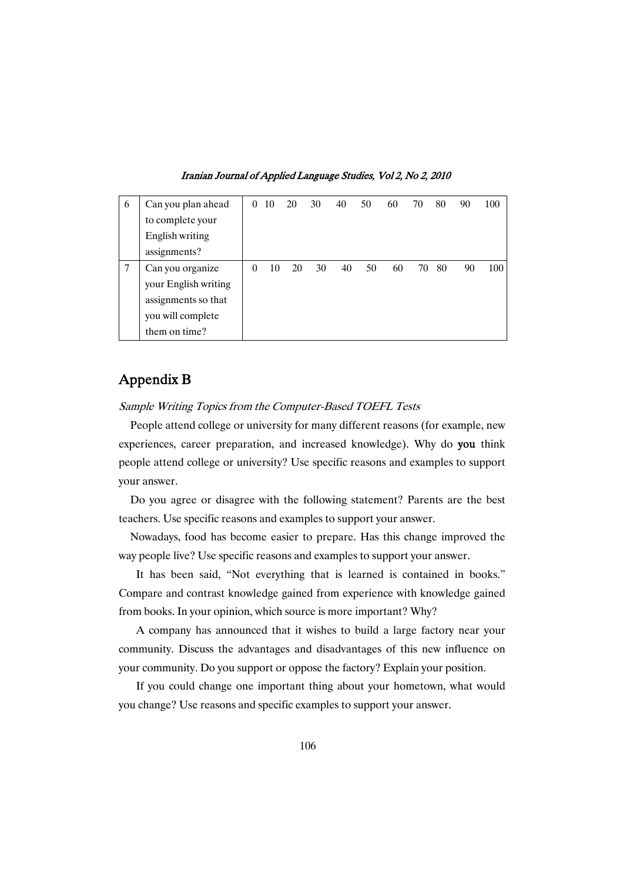Iranian Journal of Applied Language Studies, Vol 2, No 2, 2010

| 6 | Can you plan ahead   | $\Omega$ | -10 | 20 | 30 | 40 | 50 | 60 | 70 | 80 | 90 | 100 |
|---|----------------------|----------|-----|----|----|----|----|----|----|----|----|-----|
|   | to complete your     |          |     |    |    |    |    |    |    |    |    |     |
|   | English writing      |          |     |    |    |    |    |    |    |    |    |     |
|   | assignments?         |          |     |    |    |    |    |    |    |    |    |     |
| 7 | Can you organize     | $\Omega$ | 10  | 20 | 30 | 40 | 50 | 60 | 70 | 80 | 90 | 100 |
|   | your English writing |          |     |    |    |    |    |    |    |    |    |     |
|   | assignments so that  |          |     |    |    |    |    |    |    |    |    |     |
|   | you will complete    |          |     |    |    |    |    |    |    |    |    |     |
|   | them on time?        |          |     |    |    |    |    |    |    |    |    |     |

### Appendix B

Sample Writing Topics from the Computer-Based TOEFL Tests

People attend college or university for many different reasons (for example, new experiences, career preparation, and increased knowledge). Why do you think people attend college or university? Use specific reasons and examples to support your answer.

Do you agree or disagree with the following statement? Parents are the best teachers. Use specific reasons and examples to support your answer.

Nowadays, food has become easier to prepare. Has this change improved the way people live? Use specific reasons and examples to support your answer.

It has been said, "Not everything that is learned is contained in books." Compare and contrast knowledge gained from experience with knowledge gained from books. In your opinion, which source is more important? Why?

A company has announced that it wishes to build a large factory near your community. Discuss the advantages and disadvantages of this new influence on your community. Do you support or oppose the factory? Explain your position.

If you could change one important thing about your hometown, what would you change? Use reasons and specific examples to support your answer.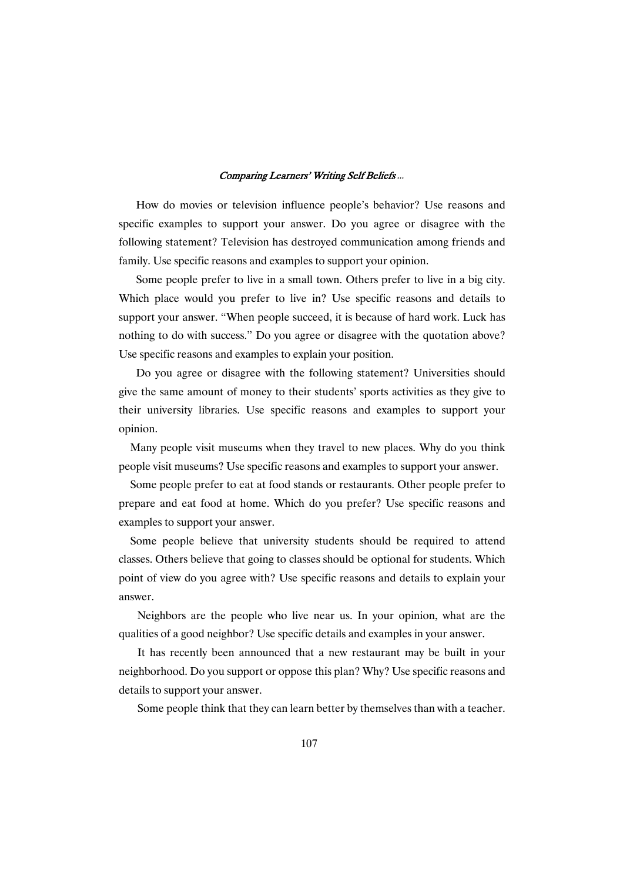How do movies or television influence people's behavior? Use reasons and specific examples to support your answer. Do you agree or disagree with the following statement? Television has destroyed communication among friends and family. Use specific reasons and examples to support your opinion.

Some people prefer to live in a small town. Others prefer to live in a big city. Which place would you prefer to live in? Use specific reasons and details to support your answer. "When people succeed, it is because of hard work. Luck has nothing to do with success." Do you agree or disagree with the quotation above? Use specific reasons and examples to explain your position.

Do you agree or disagree with the following statement? Universities should give the same amount of money to their students' sports activities as they give to their university libraries. Use specific reasons and examples to support your opinion.

Many people visit museums when they travel to new places. Why do you think people visit museums? Use specific reasons and examples to support your answer.

Some people prefer to eat at food stands or restaurants. Other people prefer to prepare and eat food at home. Which do you prefer? Use specific reasons and examples to support your answer.

Some people believe that university students should be required to attend classes. Others believe that going to classes should be optional for students. Which point of view do you agree with? Use specific reasons and details to explain your answer.

Neighbors are the people who live near us. In your opinion, what are the qualities of a good neighbor? Use specific details and examples in your answer.

It has recently been announced that a new restaurant may be built in your neighborhood. Do you support or oppose this plan? Why? Use specific reasons and details to support your answer.

Some people think that they can learn better by themselves than with a teacher.